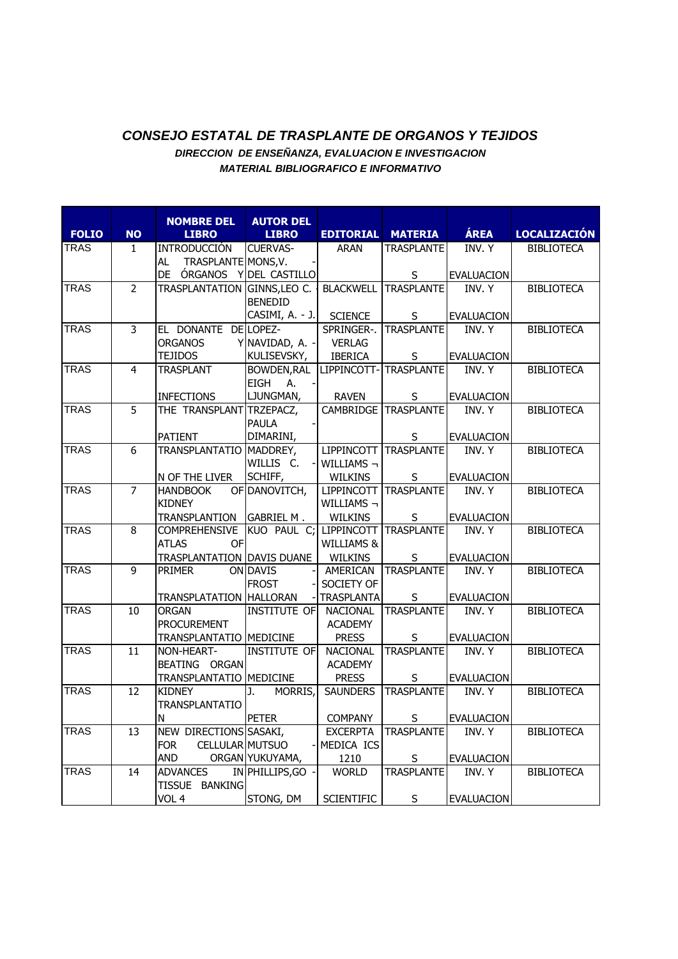## *CONSEJO ESTATAL DE TRASPLANTE DE ORGANOS Y TEJIDOS DIRECCION DE ENSEÑANZA, EVALUACION E INVESTIGACION MATERIAL BIBLIOGRAFICO E INFORMATIVO*

**NOMBRE DEL LIBRO AUTOR DEL LIBRO EDITORIAL MATERIA ÁREA LOCALIZACIÓN** AL TRASPLANTE DE ÓRGANOS Y TRASPLA CUERVAS-MONS,V. - DEL CASTILLO GINNS,LEO ARAN **TRASPLANTE** S INV. Y EVALUACION BENEDID CASIMI, A. - J. BLACKWELL SCIENCE TRASPLANTE S INV. Y EVALUACION

| <b>FOLIO</b> | <b>NO</b>       | <b>LIBRO</b>                          | <b>LIBRO</b>                      | <b>EDITORIAL</b>                | <b>MATERIA</b>         | <b>AREA</b>                | <b>LOCALIZACION</b> |
|--------------|-----------------|---------------------------------------|-----------------------------------|---------------------------------|------------------------|----------------------------|---------------------|
| <b>TRAS</b>  | $\mathbf{1}$    | <b>INTRODUCCIÓN</b>                   | <b>CUERVAS-</b>                   | <b>ARAN</b>                     | <b>TRASPLANTE</b>      | <b>INV.Y</b>               | <b>BIBLIOTECA</b>   |
|              |                 | TRASPLANTE MONS, V.<br>AL             |                                   |                                 |                        |                            |                     |
|              |                 | DE ÓRGANOS Y DEL CASTILLO             |                                   |                                 | S                      | <b>EVALUACION</b>          |                     |
| <b>TRAS</b>  | $\overline{2}$  | <b>TRASPLANTATION</b>                 | GINNS, LEO C.                     | <b>BLACKWELL</b>                | <b>TRASPLANTE</b>      | INV. Y                     | <b>BIBLIOTECA</b>   |
|              |                 |                                       | <b>BENEDID</b>                    |                                 |                        |                            |                     |
|              |                 |                                       | CASIMI, A. - J.                   | <b>SCIENCE</b>                  | $\sf S$                | EVALUACION                 |                     |
| <b>TRAS</b>  | $\overline{3}$  | EL DONANTE DE LOPEZ-                  |                                   | SPRINGER-.                      | <b>TRASPLANTE</b>      | INV. Y                     | <b>BIBLIOTECA</b>   |
|              |                 | <b>ORGANOS</b>                        | Y NAVIDAD, A. -                   | <b>VERLAG</b>                   |                        |                            |                     |
|              |                 | <b>TEJIDOS</b>                        | KULISEVSKY,                       | <b>IBERICA</b>                  | S                      | <b>EVALUACION</b>          |                     |
| <b>TRAS</b>  | $\overline{4}$  | <b>TRASPLANT</b>                      | BOWDEN, RAL                       |                                 | LIPPINCOTT-TRASPLANTE  | INV. Y                     | <b>BIBLIOTECA</b>   |
|              |                 |                                       | <b>EIGH</b><br>A.                 |                                 |                        |                            |                     |
|              |                 | <b>INFECTIONS</b>                     | LJUNGMAN,                         | <b>RAVEN</b>                    | S                      | <b>EVALUACION</b>          |                     |
| <b>TRAS</b>  | 5               | THE TRANSPLANT TRZEPACZ,              |                                   |                                 | CAMBRIDGE TRASPLANTE   | INV. Y                     | <b>BIBLIOTECA</b>   |
|              |                 |                                       | <b>PAULA</b>                      |                                 |                        |                            |                     |
|              |                 | <b>PATIENT</b>                        | DIMARINI,                         |                                 | S                      | <b>EVALUACION</b>          |                     |
| <b>TRAS</b>  | $\overline{6}$  | TRANSPLANTATIO MADDREY,               |                                   |                                 | LIPPINCOTT TRASPLANTE  | <b>INV.Y</b>               | <b>BIBLIOTECA</b>   |
|              |                 |                                       | WILLIS C.                         | WILLIAMS $\neg$                 |                        |                            |                     |
|              |                 | N OF THE LIVER                        | SCHIFF,                           | WILKINS                         | S                      | <b>EVALUACION</b>          |                     |
| <b>TRAS</b>  | $\overline{7}$  | <b>HANDBOOK</b>                       | OF DANOVITCH,                     | <b>LIPPINCOTT</b>               | <b>TRASPLANTE</b>      | <b>INV.Y</b>               | <b>BIBLIOTECA</b>   |
|              |                 | <b>KIDNEY</b>                         |                                   | WILLIAMS $\neg$                 |                        |                            |                     |
|              |                 | TRANSPLANTION                         | <b>GABRIEL M.</b>                 | <b>WILKINS</b>                  | S                      | <b>EVALUACION</b>          |                     |
| <b>TRAS</b>  | $\overline{8}$  | <b>COMPREHENSIVE</b>                  | KUO PAUL C; LIPPINCOTT TRASPLANTE |                                 |                        | <b>INV.Y</b>               | <b>BIBLIOTECA</b>   |
|              |                 | <b>ATLAS</b><br><b>OF</b>             |                                   | WILLIAMS &                      |                        |                            |                     |
|              |                 | TRASPLANTATION DAVIS DUANE            |                                   | <b>WILKINS</b>                  | S                      | <b>EVALUACION</b>          |                     |
| <b>TRAS</b>  | $\overline{9}$  | <b>PRIMER</b>                         | <b>ON DAVIS</b>                   | AMERICAN                        | <b>TRASPLANTE</b>      | <b>INV.Y</b>               | <b>BIBLIOTECA</b>   |
|              |                 |                                       | <b>FROST</b>                      | SOCIETY OF                      |                        |                            |                     |
|              |                 | TRANSPLATATION HALLORAN               |                                   | <b>TRASPLANTA</b>               | $\sf S$                | <b>EVALUACION</b>          |                     |
| <b>TRAS</b>  | 10              | <b>ORGAN</b>                          | <b>INSTITUTE OF</b>               | <b>NACIONAL</b>                 | <b>TRASPLANTE</b>      | INV. Y                     | <b>BIBLIOTECA</b>   |
|              |                 | <b>PROCUREMENT</b>                    |                                   | <b>ACADEMY</b>                  |                        |                            |                     |
| <b>TRAS</b>  | $\overline{11}$ | TRANSPLANTATIO MEDICINE<br>NON-HEART- | <b>INSTITUTE OF</b>               | <b>PRESS</b><br><b>NACIONAL</b> | S<br><b>TRASPLANTE</b> | EVALUACION<br><b>INV.Y</b> | <b>BIBLIOTECA</b>   |
|              |                 | BEATING ORGAN                         |                                   | <b>ACADEMY</b>                  |                        |                            |                     |
|              |                 | TRANSPLANTATIO MEDICINE               |                                   | <b>PRESS</b>                    | $\sf S$                | <b>EVALUACION</b>          |                     |
| <b>TRAS</b>  | 12              | <b>KIDNEY</b>                         | MORRIS,<br>J.                     | <b>SAUNDERS</b>                 | <b>TRASPLANTE</b>      | INV. Y                     | <b>BIBLIOTECA</b>   |
|              |                 | <b>TRANSPLANTATIO</b>                 |                                   |                                 |                        |                            |                     |
|              |                 | N                                     | <b>PETER</b>                      | <b>COMPANY</b>                  | S                      | <b>EVALUACION</b>          |                     |
| <b>TRAS</b>  | 13              | NEW DIRECTIONS SASAKI,                |                                   | <b>EXCERPTA</b>                 | <b>TRASPLANTE</b>      | INV. Y                     | <b>BIBLIOTECA</b>   |
|              |                 | <b>FOR</b><br>CELLULAR MUTSUO         |                                   | MEDICA ICS                      |                        |                            |                     |
|              |                 | <b>AND</b>                            | ORGAN YUKUYAMA,                   | 1210                            | S                      | <b>EVALUACION</b>          |                     |
| <b>TRAS</b>  | 14              | <b>ADVANCES</b>                       | IN PHILLIPS, GO                   | <b>WORLD</b>                    | <b>TRASPLANTE</b>      | INV. Y                     | <b>BIBLIOTECA</b>   |
|              |                 | TISSUE BANKING                        |                                   |                                 |                        |                            |                     |
|              |                 | VOL 4                                 | STONG, DM                         | <b>SCIENTIFIC</b>               | S                      | <b>EVALUACION</b>          |                     |
|              |                 |                                       |                                   |                                 |                        |                            |                     |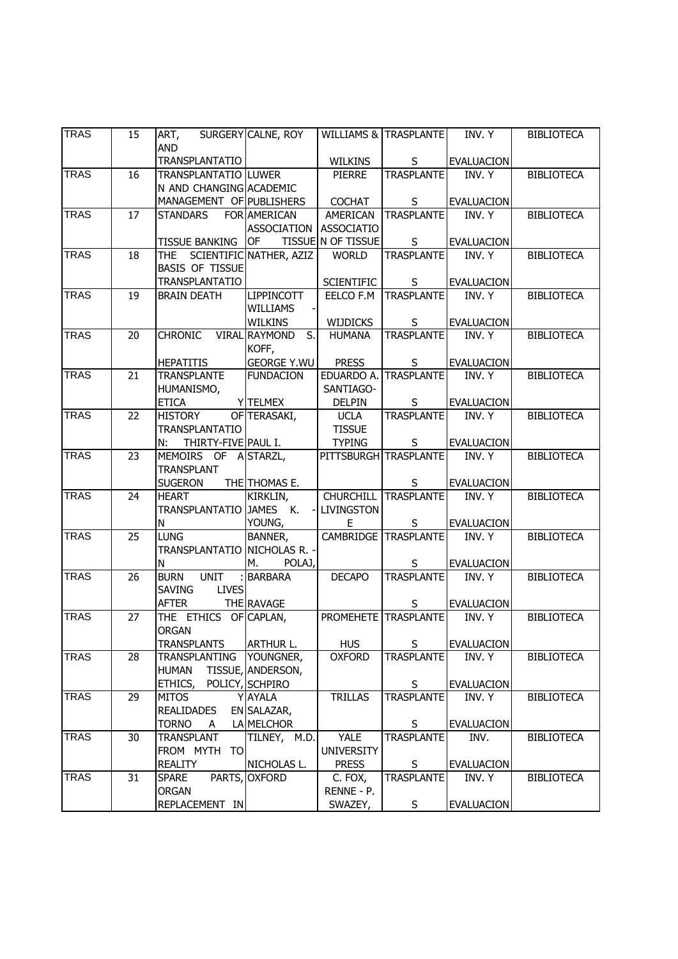| <b>TRAS</b> | 15 | ART,<br><b>AND</b>                      | SURGERY CALNE, ROY                                         |                        | WILLIAMS & TRASPLANTE       | INV. Y            | <b>BIBLIOTECA</b> |
|-------------|----|-----------------------------------------|------------------------------------------------------------|------------------------|-----------------------------|-------------------|-------------------|
|             |    | <b>TRANSPLANTATIO</b>                   |                                                            | <b>WILKINS</b>         | S                           | <b>EVALUACION</b> |                   |
| <b>TRAS</b> | 16 | <b>TRANSPLANTATIO LUWER</b>             |                                                            | <b>PIERRE</b>          | <b>TRASPLANTE</b>           | INV. Y            | <b>BIBLIOTECA</b> |
|             |    | N AND CHANGING ACADEMIC                 |                                                            |                        |                             |                   |                   |
|             |    | MANAGEMENT OF PUBLISHERS                |                                                            | <b>COCHAT</b>          | S                           | <b>EVALUACION</b> |                   |
| <b>TRAS</b> | 17 | <b>STANDARS</b>                         | <b>FOR AMERICAN</b>                                        | <b>AMERICAN</b>        | <b>TRASPLANTE</b>           | INV. Y            | <b>BIBLIOTECA</b> |
|             |    |                                         | <b>ASSOCIATION</b>                                         | <b>ASSOCIATIO</b>      |                             |                   |                   |
|             |    | <b>TISSUE BANKING</b>                   | <b>OF</b>                                                  | TISSUE N OF TISSUE     | $\mathsf{S}$                | <b>EVALUACION</b> |                   |
| <b>TRAS</b> | 18 | THE SCIENTIFIC NATHER, AZIZ             |                                                            | <b>WORLD</b>           | <b>TRASPLANTE</b>           | INV. Y            | <b>BIBLIOTECA</b> |
|             |    | <b>BASIS OF TISSUE</b>                  |                                                            |                        |                             |                   |                   |
|             |    | <b>TRANSPLANTATIO</b>                   |                                                            | <b>SCIENTIFIC</b>      | S                           | <b>EVALUACION</b> |                   |
| <b>TRAS</b> | 19 | <b>BRAIN DEATH</b>                      | <b>LIPPINCOTT</b>                                          | EELCO F.M              | <b>TRASPLANTE</b>           | INV. Y            | <b>BIBLIOTECA</b> |
|             |    |                                         | <b>WILLIAMS</b>                                            |                        |                             |                   |                   |
|             |    |                                         | <b>WILKINS</b>                                             | WIJDICKS               | S                           | <b>EVALUACION</b> |                   |
| <b>TRAS</b> | 20 | <b>CHRONIC</b>                          | $\overline{\mathsf{S}}$ .<br><b>VIRAL RAYMOND</b><br>KOFF, | <b>HUMANA</b>          | <b>TRASPLANTE</b>           | INV. Y            | <b>BIBLIOTECA</b> |
|             |    | <b>HEPATITIS</b>                        | <b>GEORGE Y.WU</b>                                         | <b>PRESS</b>           | S                           | <b>EVALUACION</b> |                   |
| <b>TRAS</b> | 21 | <b>TRANSPLANTE</b>                      | <b>FUNDACION</b>                                           |                        | EDUARDO A. TRASPLANTE       | INV. Y            | <b>BIBLIOTECA</b> |
|             |    | HUMANISMO,                              |                                                            | SANTIAGO-              |                             |                   |                   |
|             |    | <b>ETICA</b>                            | Y TELMEX                                                   | <b>DELPIN</b>          | S                           | <b>EVALUACION</b> |                   |
| <b>TRAS</b> | 22 | <b>HISTORY</b>                          | OF TERASAKI,                                               | <b>UCLA</b>            | <b>TRASPLANTE</b>           | INV. Y            | <b>BIBLIOTECA</b> |
|             |    | <b>TRANSPLANTATIO</b>                   |                                                            | <b>TISSUE</b>          |                             |                   |                   |
|             |    | THIRTY-FIVE PAUL I.<br>N:               |                                                            | <b>TYPING</b>          | S.                          | <b>EVALUACION</b> |                   |
| <b>TRAS</b> | 23 | MEMOIRS OF                              | A STARZL,                                                  |                        | PITTSBURGH TRASPLANTE       | INV. Y            | <b>BIBLIOTECA</b> |
|             |    | <b>TRANSPLANT</b>                       |                                                            |                        |                             |                   |                   |
|             |    | <b>SUGERON</b>                          | THE THOMAS E.                                              |                        | S                           | <b>EVALUACION</b> |                   |
| <b>TRAS</b> | 24 | <b>HEART</b><br>TRANSPLANTATIO JAMES K. | KIRKLIN,                                                   | <b>CHURCHILL</b>       | <b>TRASPLANTE</b>           | INV. Y            | <b>BIBLIOTECA</b> |
|             |    | N                                       | YOUNG,                                                     | <b>LIVINGSTON</b><br>Е | S                           | <b>EVALUACION</b> |                   |
| <b>TRAS</b> | 25 | <b>LUNG</b>                             | BANNER,                                                    |                        | CAMBRIDGE TRASPLANTE        | INV. Y            | <b>BIBLIOTECA</b> |
|             |    | TRANSPLANTATIO NICHOLAS R. -            |                                                            |                        |                             |                   |                   |
|             |    | N                                       | POLAJ,<br>М.                                               |                        | S                           | <b>EVALUACION</b> |                   |
| <b>TRAS</b> | 26 | <b>UNIT</b><br><b>BURN</b>              | <b>BARBARA</b>                                             | <b>DECAPO</b>          | <b>TRASPLANTE</b>           | INV. Y            | <b>BIBLIOTECA</b> |
|             |    | <b>LIVES</b><br><b>SAVING</b>           |                                                            |                        |                             |                   |                   |
|             |    | <b>AFTER</b>                            | THE RAVAGE                                                 |                        | S                           | <b>EVALUACION</b> |                   |
| <b>TRAS</b> | 27 | THE ETHICS OF CAPLAN,                   |                                                            |                        | <b>PROMEHETE</b> TRASPLANTE | INV. Y            | <b>BIBLIOTECA</b> |
|             |    | <b>ORGAN</b>                            |                                                            |                        |                             |                   |                   |
|             |    | <b>TRANSPLANTS</b>                      | <b>ARTHUR L.</b>                                           | <b>HUS</b>             | S                           | <b>EVALUACION</b> |                   |
| <b>TRAS</b> | 28 | TRANSPLANTING                           | YOUNGNER,                                                  | <b>OXFORD</b>          | <b>TRASPLANTE</b>           | INV. Y            | <b>BIBLIOTECA</b> |
|             |    | <b>HUMAN</b>                            | TISSUE, ANDERSON,                                          |                        |                             |                   |                   |
|             |    | ETHICS,                                 | POLICY, SCHPIRO                                            |                        | S                           | <b>EVALUACION</b> |                   |
| <b>TRAS</b> | 29 | <b>MITOS</b>                            | <b>Y AYALA</b>                                             | <b>TRILLAS</b>         | <b>TRASPLANTE</b>           | INV. Y            | <b>BIBLIOTECA</b> |
|             |    | <b>REALIDADES</b>                       | EN SALAZAR,                                                |                        |                             |                   |                   |
|             |    | <b>TORNO</b><br>A                       | LA MELCHOR                                                 |                        | S                           | <b>EVALUACION</b> |                   |
| <b>TRAS</b> | 30 | TRANSPLANT                              | TILNEY, M.D.                                               | YALE                   | <b>TRASPLANTE</b>           | INV.              | <b>BIBLIOTECA</b> |
|             |    | FROM MYTH TO                            |                                                            | <b>UNIVERSITY</b>      |                             |                   |                   |
|             |    | <b>REALITY</b>                          | NICHOLAS L.                                                | <b>PRESS</b>           | S                           | <b>EVALUACION</b> |                   |
| <b>TRAS</b> | 31 | <b>SPARE</b>                            | PARTS, OXFORD                                              | C. FOX,                | <b>TRASPLANTE</b>           | INV. Y            | <b>BIBLIOTECA</b> |
|             |    | ORGAN                                   |                                                            | RENNE - P.             |                             |                   |                   |
|             |    | REPLACEMENT IN                          |                                                            | SWAZEY,                | S                           | <b>EVALUACION</b> |                   |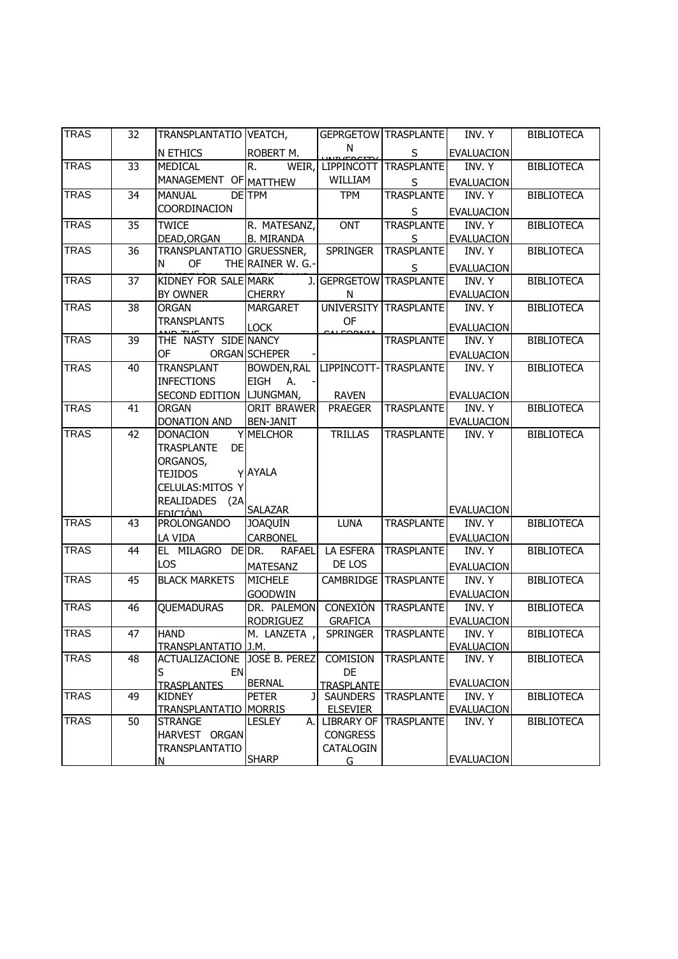| <b>TRAS</b> | 32              | TRANSPLANTATIO VEATCH,         |                    |                         | GEPRGETOW TRASPLANTE | INV. Y            | <b>BIBLIOTECA</b> |
|-------------|-----------------|--------------------------------|--------------------|-------------------------|----------------------|-------------------|-------------------|
|             |                 | N ETHICS                       | ROBERT M.          | N                       | S                    | <b>EVALUACION</b> |                   |
| <b>TRAS</b> | $\overline{33}$ | MEDICAL                        | R.<br>WEIR,        | <b>LIPPINCOTT</b>       | <b>TRASPLANTE</b>    | INV. Y            | <b>BIBLIOTECA</b> |
|             |                 | MANAGEMENT OF MATTHEW          |                    | WILLIAM                 | S                    | <b>EVALUACION</b> |                   |
| <b>TRAS</b> | 34              | <b>MANUAL</b>                  | DETPM              | <b>TPM</b>              | <b>TRASPLANTE</b>    | INV. Y            | <b>BIBLIOTECA</b> |
|             |                 | COORDINACION                   |                    |                         | S                    | <b>EVALUACION</b> |                   |
| <b>TRAS</b> | 35              | <b>TWICE</b>                   | R. MATESANZ,       | <b>ONT</b>              | <b>TRASPLANTE</b>    | INV. Y            | <b>BIBLIOTECA</b> |
|             |                 | DEAD, ORGAN                    | <b>B. MIRANDA</b>  |                         | <u>S</u>             | <b>EVALUACION</b> |                   |
| <b>TRAS</b> | 36              | TRANSPLANTATIO                 | GRUESSNER,         | <b>SPRINGER</b>         | <b>TRASPLANTE</b>    | INV. Y            | <b>BIBLIOTECA</b> |
|             |                 | <b>OF</b><br>N                 | THE RAINER W. G.-  |                         | S                    | <b>EVALUACION</b> |                   |
| <b>TRAS</b> | 37              | KIDNEY FOR SALE MARK           |                    | J. GEPRGETOW TRASPLANTE |                      | INV. Y            | <b>BIBLIOTECA</b> |
|             |                 | BY OWNER                       | <b>CHERRY</b>      | N                       |                      | <b>EVALUACION</b> |                   |
| <b>TRAS</b> | 38              | <b>ORGAN</b>                   | <b>MARGARET</b>    | <b>UNIVERSITY</b>       | <b>TRASPLANTE</b>    | INV. Y            | <b>BIBLIOTECA</b> |
|             |                 | <b>TRANSPLANTS</b>             |                    | OF                      |                      |                   |                   |
|             |                 |                                | <b>LOCK</b>        | <b>ALCODAITA</b>        |                      | <b>EVALUACION</b> |                   |
| <b>TRAS</b> | 39              | THE NASTY SIDE NANCY           |                    |                         | <b>TRASPLANTE</b>    | INV. Y            | <b>BIBLIOTECA</b> |
|             |                 | OF                             | ORGAN SCHEPER      |                         |                      | <b>EVALUACION</b> |                   |
| <b>TRAS</b> | 40              | <b>TRANSPLANT</b>              | <b>BOWDEN, RAL</b> | LIPPINCOTT-             | <b>TRASPLANTE</b>    | INV. Y            | <b>BIBLIOTECA</b> |
|             |                 | <b>INFECTIONS</b>              | <b>EIGH</b><br>А.  |                         |                      |                   |                   |
|             |                 | SECOND EDITION   LJUNGMAN,     |                    | <b>RAVEN</b>            |                      | <b>EVALUACION</b> |                   |
| <b>TRAS</b> | 41              | <b>ORGAN</b>                   | <b>ORIT BRAWER</b> | <b>PRAEGER</b>          | <b>TRASPLANTE</b>    | INV. Y            | <b>BIBLIOTECA</b> |
|             |                 | DONATION AND                   | <b>BEN-JANIT</b>   |                         |                      | <b>EVALUACION</b> |                   |
| <b>TRAS</b> | 42              | <b>DONACION</b>                | Y MELCHOR          | <b>TRILLAS</b>          | <b>TRASPLANTE</b>    | INV. Y            | <b>BIBLIOTECA</b> |
|             |                 | <b>DE</b><br><b>TRASPLANTE</b> |                    |                         |                      |                   |                   |
|             |                 | ORGANOS,                       |                    |                         |                      |                   |                   |
|             |                 | <b>TEJIDOS</b>                 | YAYALA             |                         |                      |                   |                   |
|             |                 | CELULAS: MITOS Y               |                    |                         |                      |                   |                   |
|             |                 | REALIDADES (2A                 |                    |                         |                      |                   |                   |
|             |                 | <u>EDICIÓN).</u>               | <b>SALAZAR</b>     |                         |                      | <b>EVALUACION</b> |                   |
| <b>TRAS</b> | 43              | <b>PROLONGANDO</b>             | <b>JOAQUÍN</b>     | <b>LUNA</b>             | <b>TRASPLANTE</b>    | INV. Y            | <b>BIBLIOTECA</b> |
|             |                 | LA VIDA                        | <b>CARBONEL</b>    |                         |                      | EVALUACION        |                   |
| <b>TRAS</b> | 44              | EL MILAGRO DE DR.              | <b>RAFAEL</b>      | LA ESFERA               | TRASPLANTE           | INV. Y            | <b>BIBLIOTECA</b> |
|             |                 | <b>LOS</b>                     | <b>MATESANZ</b>    | DE LOS                  |                      | <b>EVALUACION</b> |                   |
| <b>TRAS</b> | 45              | <b>BLACK MARKETS</b>           | <b>MICHELE</b>     | CAMBRIDGE               | TRASPLANTE           | INV. Y            | <b>BIBLIOTECA</b> |
|             |                 |                                | <b>GOODWIN</b>     |                         |                      | <b>EVALUACION</b> |                   |
| <b>TRAS</b> | 46              | QUEMADURAS                     | DR. PALEMON        | <b>CONEXIÓN</b>         | <b>TRASPLANTE</b>    | INV. Y            | <b>BIBLIOTECA</b> |
|             |                 |                                | <b>RODRIGUEZ</b>   | <b>GRAFICA</b>          |                      | <b>EVALUACION</b> |                   |
| <b>TRAS</b> | 47              | <b>HAND</b>                    | M. LANZETA         | <b>SPRINGER</b>         | <b>TRASPLANTE</b>    | INV. Y            | <b>BIBLIOTECA</b> |
|             |                 | TRANSPLANTATIO J.M.            |                    |                         |                      | <b>EVALUACION</b> |                   |
| <b>TRAS</b> | 48              | <b>ACTUALIZACIONE</b>          | JOSÉ B. PEREZ      | COMISION                | <b>TRASPLANTE</b>    | INV. Y            | <b>BIBLIOTECA</b> |
|             |                 | S<br>EN                        |                    | DE                      |                      |                   |                   |
|             |                 | <b>TRASPLANTES</b>             | <b>BERNAL</b>      | <b>TRASPLANTE</b>       |                      | <b>EVALUACION</b> |                   |
| <b>TRAS</b> | 49              | <b>KIDNEY</b>                  | <b>PETER</b><br>J  | <b>SAUNDERS</b>         | <b>TRASPLANTE</b>    | INV. Y            | <b>BIBLIOTECA</b> |
|             |                 | <u>TRANSPLANTATIO</u>          | <b>MORRIS</b>      | <b>ELSEVIER</b>         |                      | <b>EVALUACION</b> |                   |
| <b>TRAS</b> | 50              | <b>STRANGE</b>                 | <b>LESLEY</b>      | A. LIBRARY OF           | <b>TRASPLANTE</b>    | INV. Y            | <b>BIBLIOTECA</b> |
|             |                 | HARVEST ORGAN                  |                    | <b>CONGRESS</b>         |                      |                   |                   |
|             |                 | <b>TRANSPLANTATIO</b>          |                    | CATALOGIN               |                      | <b>EVALUACION</b> |                   |
|             |                 | N                              | <b>SHARP</b>       | G.                      |                      |                   |                   |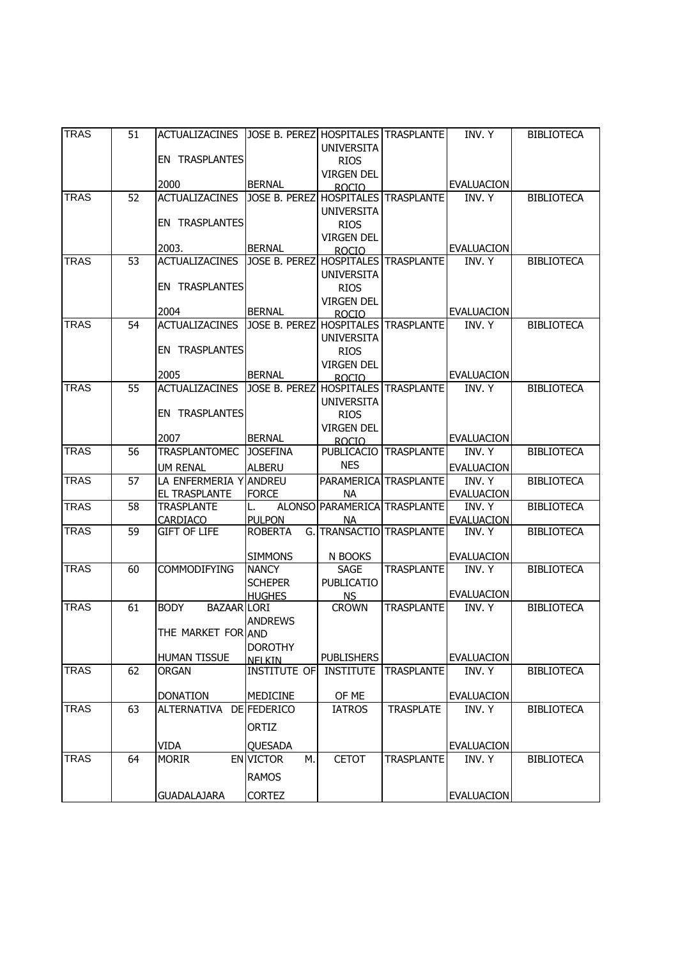| <b>TRAS</b> | 51 | <b>ACTUALIZACINES</b>             | JOSE B. PEREZI HOSPITALES TRASPLANTE  |                   |                              | INV. Y            | <b>BIBLIOTECA</b> |
|-------------|----|-----------------------------------|---------------------------------------|-------------------|------------------------------|-------------------|-------------------|
|             |    |                                   |                                       | <b>UNIVERSITA</b> |                              |                   |                   |
|             |    | EN TRASPLANTES                    |                                       | <b>RIOS</b>       |                              |                   |                   |
|             |    | 2000                              | <b>BERNAL</b>                         | <b>VIRGEN DEL</b> |                              | <b>EVALUACION</b> |                   |
| <b>TRAS</b> | 52 | <b>ACTUALIZACINES</b>             | JOSE B. PEREZ                         | <b>ROCIO</b>      | <b>HOSPITALES TRASPLANTE</b> | INV. Y            | <b>BIBLIOTECA</b> |
|             |    |                                   |                                       | <b>UNIVERSITA</b> |                              |                   |                   |
|             |    | EN TRASPLANTES                    |                                       | <b>RIOS</b>       |                              |                   |                   |
|             |    |                                   |                                       | <b>VIRGEN DEL</b> |                              |                   |                   |
|             |    | 2003.                             | <b>BERNAL</b>                         | <b>ROCIO</b>      |                              | <b>EVALUACION</b> |                   |
| <b>TRAS</b> | 53 | <b>ACTUALIZACINES</b>             | JOSE B. PEREZ HOSPITALES TRASPLANTE   |                   |                              | INV. Y            | <b>BIBLIOTECA</b> |
|             |    |                                   |                                       | <b>UNIVERSITA</b> |                              |                   |                   |
|             |    | EN TRASPLANTES                    |                                       | <b>RIOS</b>       |                              |                   |                   |
|             |    |                                   |                                       | <b>VIRGEN DEL</b> |                              |                   |                   |
|             |    | 2004                              | <b>BERNAL</b>                         | <b>ROCIO</b>      |                              | <b>EVALUACION</b> |                   |
| <b>TRAS</b> | 54 | <b>ACTUALIZACINES</b>             | JOSE B. PEREZ HOSPITALES TRASPLANTE   |                   |                              | INV. Y            | <b>BIBLIOTECA</b> |
|             |    |                                   |                                       | <b>UNIVERSITA</b> |                              |                   |                   |
|             |    | EN TRASPLANTES                    |                                       | <b>RIOS</b>       |                              |                   |                   |
|             |    | 2005                              | <b>BERNAL</b>                         | <b>VIRGEN DEL</b> |                              | <b>EVALUACION</b> |                   |
| <b>TRAS</b> | 55 | <b>ACTUALIZACINES</b>             | JOSE B. PEREZ                         | <b>ROCIO</b>      | <b>HOSPITALES</b> TRASPLANTE | INV. Y            | <b>BIBLIOTECA</b> |
|             |    |                                   |                                       | <b>UNIVERSITA</b> |                              |                   |                   |
|             |    | EN TRASPLANTES                    |                                       | <b>RIOS</b>       |                              |                   |                   |
|             |    |                                   |                                       | <b>VIRGEN DEL</b> |                              |                   |                   |
|             |    | 2007                              | <b>BERNAL</b>                         | <b>ROCIO</b>      |                              | <b>EVALUACION</b> |                   |
| <b>TRAS</b> | 56 | <b>TRASPLANTOMEC</b>              | <b>JOSEFINA</b>                       | PUBLICACIO        | <b>TRASPLANTE</b>            | INV. Y            | <b>BIBLIOTECA</b> |
|             |    | <b>UM RENAL</b>                   | <b>ALBERU</b>                         | <b>NES</b>        |                              | <b>EVALUACION</b> |                   |
| <b>TRAS</b> | 57 | LA ENFERMERIA Y ANDREU            |                                       |                   | PARAMERICA TRASPLANTE        | INV. Y            | <b>BIBLIOTECA</b> |
|             |    | EL TRASPLANTE                     | <b>FORCE</b>                          | <b>NA</b>         |                              | <b>EVALUACION</b> |                   |
| <b>TRAS</b> | 58 | <b>TRASPLANTE</b>                 | L.                                    |                   | ALONSO PARAMERICA TRASPLANTE | INV. Y            | <b>BIBLIOTECA</b> |
|             |    | CARDIACO                          | <b>PULPON</b>                         | NA.               |                              | <b>EVALUACION</b> |                   |
| <b>TRAS</b> | 59 | <b>GIFT OF LIFE</b>               | <b>ROBERTA</b>                        |                   | G. TRANSACTIO TRASPLANTE     | INV. Y            | <b>BIBLIOTECA</b> |
|             |    |                                   | <b>SIMMONS</b>                        | N BOOKS           |                              | <b>EVALUACION</b> |                   |
| <b>TRAS</b> | 60 | <b>COMMODIFYING</b>               | <b>NANCY</b>                          | <b>SAGE</b>       | <b>TRASPLANTE</b>            | INV. Y            | <b>BIBLIOTECA</b> |
|             |    |                                   | <b>SCHEPER</b>                        | <b>PUBLICATIO</b> |                              |                   |                   |
|             |    |                                   | <b>HUGHES</b>                         | <b>NS</b>         |                              | <b>EVALUACION</b> |                   |
| <b>TRAS</b> | 61 | <b>BODY</b><br><b>BAZAAR LORI</b> |                                       | <b>CROWN</b>      | <b>TRASPLANTE</b>            | INV. Y            | <b>BIBLIOTECA</b> |
|             |    |                                   | <b>ANDREWS</b>                        |                   |                              |                   |                   |
|             |    | THE MARKET FOR AND                |                                       |                   |                              |                   |                   |
|             |    |                                   | <b>DOROTHY</b>                        |                   |                              |                   |                   |
|             | 62 | <b>HUMAN TISSUE</b>               | <b>NFI KIN</b><br><b>INSTITUTE OF</b> | <b>PUBLISHERS</b> |                              | <b>EVALUACION</b> |                   |
| <b>TRAS</b> |    | <b>ORGAN</b>                      |                                       | <b>INSTITUTE</b>  | <b>TRASPLANTE</b>            | INV. Y            | <b>BIBLIOTECA</b> |
|             |    | <b>DONATION</b>                   | <b>MEDICINE</b>                       | OF ME             |                              | <b>EVALUACION</b> |                   |
| TRAS        | 63 | <b>ALTERNATIVA</b>                | DE FEDERICO                           | <b>IATROS</b>     | <b>TRASPLATE</b>             | INV. Y            | <b>BIBLIOTECA</b> |
|             |    |                                   |                                       |                   |                              |                   |                   |
|             |    |                                   | ORTIZ                                 |                   |                              |                   |                   |
|             |    | <b>VIDA</b>                       | QUESADA                               |                   |                              | <b>EVALUACION</b> |                   |
| <b>TRAS</b> | 64 | <b>MORIR</b>                      | М.<br><b>EN VICTOR</b>                | <b>CETOT</b>      | <b>TRASPLANTE</b>            | INV. Y            | <b>BIBLIOTECA</b> |
|             |    |                                   | <b>RAMOS</b>                          |                   |                              |                   |                   |
|             |    | <b>GUADALAJARA</b>                | <b>CORTEZ</b>                         |                   |                              | <b>EVALUACION</b> |                   |
|             |    |                                   |                                       |                   |                              |                   |                   |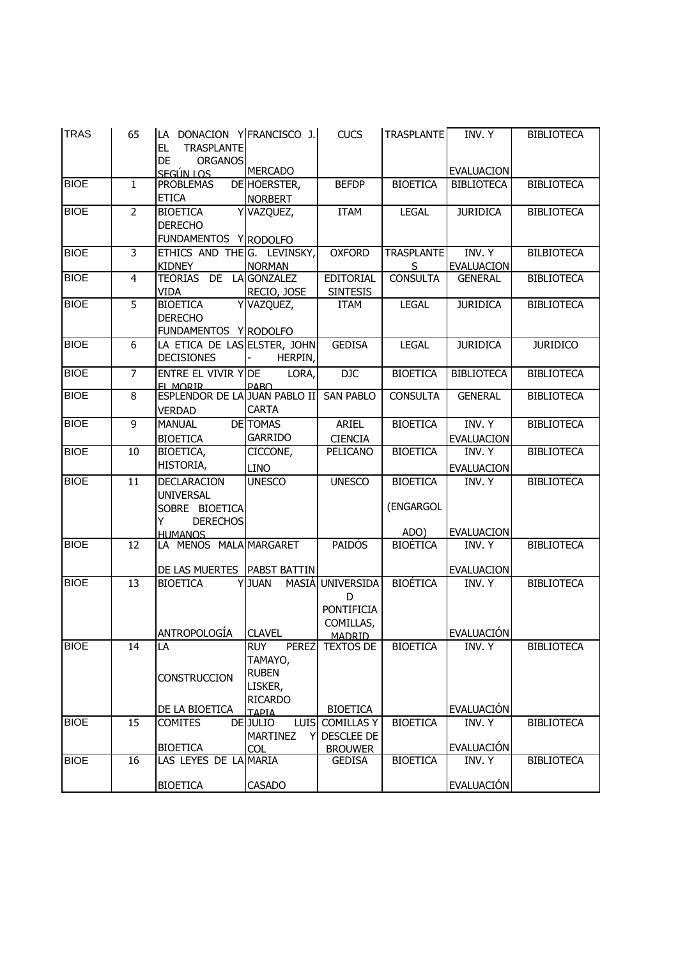| <b>TRAS</b> | 65             | LA DONACION Y FRANCISCO J.<br><b>TRASPLANTE</b><br>EL<br><b>ORGANOS</b><br>DE               |                                                                                             | <b>CUCS</b>                                                               | <b>TRASPLANTE</b>                    | INV. Y                      | <b>BIBLIOTECA</b> |
|-------------|----------------|---------------------------------------------------------------------------------------------|---------------------------------------------------------------------------------------------|---------------------------------------------------------------------------|--------------------------------------|-----------------------------|-------------------|
|             |                | <u>SEGÚN LOS</u>                                                                            | <b>MERCADO</b>                                                                              |                                                                           |                                      | <b>EVALUACION</b>           |                   |
| <b>BIOE</b> | $\mathbf{1}$   | <b>PROBLEMAS</b><br><b>ETICA</b>                                                            | DE HOERSTER,<br><b>NORBERT</b>                                                              | <b>BEFDP</b>                                                              | <b>BIOETICA</b>                      | <b>BIBLIOTECA</b>           | <b>BIBLIOTECA</b> |
| <b>BIOE</b> | $\overline{2}$ | <b>BIOETICA</b><br>Y<br><b>DERECHO</b><br>FUNDAMENTOS Y RODOLFO                             | VAZQUEZ,                                                                                    | <b>ITAM</b>                                                               | <b>LEGAL</b>                         | <b>JURIDICA</b>             | <b>BIBLIOTECA</b> |
| <b>BIOE</b> | 3              | ETHICS AND THE G. LEVINSKY,<br><b>KIDNEY</b>                                                | <b>NORMAN</b>                                                                               | <b>OXFORD</b>                                                             | <b>TRASPLANTE</b><br>S.              | INV. Y<br><b>EVALUACION</b> | <b>BILBIOTECA</b> |
| <b>BIOE</b> | 4              | TEORIAS DE LA GONZALEZ<br>VIDA                                                              | RECIO, JOSE                                                                                 | <b>EDITORIAL</b><br><b>SINTESIS</b>                                       | <b>CONSULTA</b>                      | <b>GENERAL</b>              | <b>BIBLIOTECA</b> |
| <b>BIOE</b> | $\overline{5}$ | Y<br><b>BIOETICA</b><br><b>DERECHO</b><br>FUNDAMENTOS YRODOLFO                              | VAZQUEZ,                                                                                    | <b>ITAM</b>                                                               | <b>LEGAL</b>                         | <b>JURIDICA</b>             | <b>BIBLIOTECA</b> |
| <b>BIOE</b> | 6              | LA ETICA DE LAS ELSTER, JOHN<br><b>DECISIONES</b>                                           | HERPIN,                                                                                     | <b>GEDISA</b>                                                             | <b>LEGAL</b>                         | <b>JURIDICA</b>             | <b>JURIDICO</b>   |
| <b>BIOE</b> | $\overline{7}$ | <b>ENTRE EL VIVIR Y DE</b><br>EL MORIR                                                      | LORA,<br><b>PARO</b>                                                                        | DJC                                                                       | <b>BIOETICA</b>                      | <b>BIBLIOTECA</b>           | <b>BIBLIOTECA</b> |
| <b>BIOE</b> | 8              | ESPLENDOR DE LA JUAN PABLO II<br><b>VERDAD</b>                                              | <b>CARTA</b>                                                                                | <b>SAN PABLO</b>                                                          | <b>CONSULTA</b>                      | <b>GENERAL</b>              | <b>BIBLIOTECA</b> |
| <b>BIOE</b> | $\overline{9}$ | <b>MANUAL</b><br><b>BIOETICA</b>                                                            | <b>DE TOMAS</b><br><b>GARRIDO</b>                                                           | ARIEL<br><b>CIENCIA</b>                                                   | <b>BIOETICA</b>                      | INV. Y<br><b>EVALUACION</b> | <b>BIBLIOTECA</b> |
| <b>BIOE</b> | 10             | BIOETICA,<br>HISTORIA,                                                                      | CICCONE,<br><b>LINO</b>                                                                     | PELICANO                                                                  | <b>BIOETICA</b>                      | INV. Y<br><b>EVALUACION</b> | <b>BIBLIOTECA</b> |
| <b>BIOE</b> | 11             | DECLARACION<br><b>UNIVERSAL</b><br>SOBRE BIOETICA<br>Y<br><b>DERECHOS</b><br><b>HUMANOS</b> | <b>UNESCO</b>                                                                               | <b>UNESCO</b>                                                             | <b>BIOETICA</b><br>(ENGARGOL<br>ADO) | INV. Y<br><b>EVALUACION</b> | <b>BIBLIOTECA</b> |
| <b>BIOE</b> | 12             | LA MENOS MALA MARGARET<br>DE LAS MUERTES                                                    | PABST BATTIN                                                                                | <b>PAIDOS</b>                                                             | <b>BIOÉTICA</b>                      | INV. Y<br><b>EVALUACION</b> | <b>BIBLIOTECA</b> |
| <b>BIOE</b> | 13             | <b>BIOETICA</b><br>ANTROPOLOGÍA                                                             | Y JUAN<br>MASIÁ<br><b>CLAVEL</b>                                                            | <b>UNIVERSIDA</b><br>D<br><b>PONTIFICIA</b><br>COMILLAS,<br><b>MADRID</b> | <b>BIOÉTICA</b>                      | INV. Y<br>EVALUACIÓN        | <b>BIBLIOTECA</b> |
| <b>BIOE</b> | 14             | LA<br><b>CONSTRUCCION</b><br>DE LA BIOETICA                                                 | <b>RUY</b><br><b>PEREZ</b><br>TAMAYO,<br><b>RUBEN</b><br>LISKER,<br><b>RICARDO</b><br>ΤΑΡΙΑ | <b>TEXTOS DE</b><br><b>BIOETICA</b>                                       | <b>BIOETICA</b>                      | INV. Y<br><b>EVALUACIÓN</b> | <b>BIBLIOTECA</b> |
| <b>BIOE</b> | 15             | <b>COMITES</b><br><b>BIOETICA</b>                                                           | DE JULIO<br><b>LUIS</b><br><b>MARTINEZ</b><br>Y<br><b>COL</b>                               | <b>COMILLAS Y</b><br><b>DESCLEE DE</b><br><b>BROUWER</b>                  | <b>BIOETICA</b>                      | INV. Y<br>EVALUACIÓN        | <b>BIBLIOTECA</b> |
| <b>BIOE</b> | 16             | LAS LEYES DE LA MARIA                                                                       |                                                                                             | <b>GEDISA</b>                                                             | <b>BIOETICA</b>                      | INV. Y                      | <b>BIBLIOTECA</b> |
|             |                | <b>BIOETICA</b>                                                                             | <b>CASADO</b>                                                                               |                                                                           |                                      | <b>EVALUACIÓN</b>           |                   |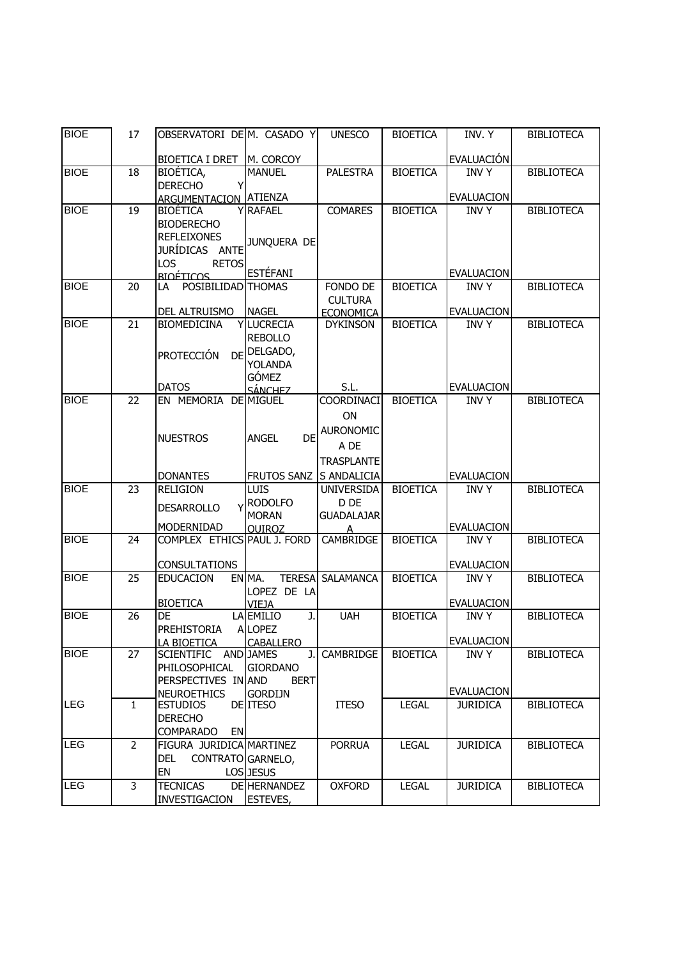| <b>BIOE</b> | 17             | OBSERVATORI DE M. CASADO Y                         |                                 | <b>UNESCO</b>                       | <b>BIOETICA</b> | INV. Y                           | <b>BIBLIOTECA</b> |
|-------------|----------------|----------------------------------------------------|---------------------------------|-------------------------------------|-----------------|----------------------------------|-------------------|
|             |                |                                                    |                                 |                                     |                 |                                  |                   |
|             |                | <b>BIOETICA I DRET</b>                             | M. CORCOY                       |                                     |                 | EVALUACIÓN                       |                   |
| <b>BIOE</b> | 18             | BIOÉTICA,<br><b>DERECHO</b>                        | <b>MANUEL</b>                   | <b>PALESTRA</b>                     | <b>BIOETICA</b> | <b>INVY</b>                      | <b>BIBLIOTECA</b> |
|             |                | <b>ARGUMENTACION ATIENZA</b>                       |                                 |                                     |                 | <b>EVALUACION</b>                |                   |
| <b>BIOE</b> | 19             | <b>BIOÉTICA</b>                                    | <b>Y RAFAEL</b>                 | <b>COMARES</b>                      | <b>BIOETICA</b> | <b>INVY</b>                      | <b>BIBLIOTECA</b> |
|             |                | <b>BIODERECHO</b>                                  |                                 |                                     |                 |                                  |                   |
|             |                | <b>REFLEIXONES</b>                                 | JUNQUERA DE                     |                                     |                 |                                  |                   |
|             |                | JURÍDICAS ANTE                                     |                                 |                                     |                 |                                  |                   |
|             |                | <b>RETOS</b><br>LOS                                |                                 |                                     |                 |                                  |                   |
|             |                | <b>BIOÉTICOS</b>                                   | <b>ESTÉFANI</b>                 |                                     |                 | <b>EVALUACION</b>                |                   |
| <b>BIOE</b> | 20             | POSIBILIDAD THOMAS<br>LA                           |                                 | FONDO DE                            | <b>BIOETICA</b> | <b>INVY</b>                      | <b>BIBLIOTECA</b> |
|             |                | DEL ALTRUISMO                                      | <b>NAGEL</b>                    | <b>CULTURA</b>                      |                 | <b>EVALUACION</b>                |                   |
| <b>BIOE</b> | 21             | <b>BIOMEDICINA</b>                                 | <b>Y LUCRECIA</b>               | <b>ECONOMICA</b><br><b>DYKINSON</b> | <b>BIOETICA</b> | <b>INVY</b>                      | <b>BIBLIOTECA</b> |
|             |                |                                                    | <b>REBOLLO</b>                  |                                     |                 |                                  |                   |
|             |                | <b>PROTECCIÓN</b><br>DE                            | DELGADO,                        |                                     |                 |                                  |                   |
|             |                |                                                    | <b>YOLANDA</b>                  |                                     |                 |                                  |                   |
|             |                |                                                    | <b>GÓMEZ</b>                    |                                     |                 |                                  |                   |
|             |                | <b>DATOS</b>                                       | <b>SÁNCHEZ</b>                  | S.L.                                |                 | <b>EVALUACION</b>                |                   |
| <b>BIOE</b> | 22             | EN MEMORIA                                         | <b>DE MIGUEL</b>                | COORDINACI                          | <b>BIOETICA</b> | <b>INVY</b>                      | <b>BIBLIOTECA</b> |
|             |                |                                                    |                                 | ON                                  |                 |                                  |                   |
|             |                | <b>NUESTROS</b>                                    | <b>ANGEL</b><br>DE              | AURONOMIC                           |                 |                                  |                   |
|             |                |                                                    |                                 | A DE                                |                 |                                  |                   |
|             |                |                                                    |                                 | <b>TRASPLANTE</b>                   |                 |                                  |                   |
|             |                | <b>DONANTES</b>                                    | FRUTOS SANZ S ANDALICIA         |                                     |                 | <b>EVALUACION</b>                |                   |
| <b>BIOE</b> | 23             | <b>RELIGION</b>                                    | <b>LUIS</b>                     | UNIVERSIDA                          | <b>BIOETICA</b> | <b>INVY</b>                      | <b>BIBLIOTECA</b> |
|             |                | <b>DESARROLLO</b>                                  | <b>RODOLFO</b>                  | D DE                                |                 |                                  |                   |
|             |                | MODERNIDAD                                         | <b>MORAN</b><br><b>OUIROZ</b>   | <b>GUADALAJAR</b>                   |                 | <b>EVALUACION</b>                |                   |
| <b>BIOE</b> | 24             | COMPLEX ETHICS PAUL J. FORD                        |                                 | <b>CAMBRIDGE</b>                    | <b>BIOETICA</b> | <b>INVY</b>                      | <b>BIBLIOTECA</b> |
|             |                |                                                    |                                 |                                     |                 |                                  |                   |
|             |                | <b>CONSULTATIONS</b>                               |                                 |                                     |                 | <b>EVALUACION</b>                |                   |
| <b>BIOE</b> | 25             | <b>EDUCACION</b>                                   | EN MA.<br><b>TERESA</b>         | <b>SALAMANCA</b>                    | <b>BIOETICA</b> | <b>INVY</b>                      | <b>BIBLIOTECA</b> |
|             |                |                                                    | LOPEZ DE LA                     |                                     |                 |                                  |                   |
| <b>BIOE</b> | 26             | <b>BIOETICA</b><br><b>DE</b>                       | <b>VIEJA</b><br>LA EMILIO<br>J. | <b>UAH</b>                          | <b>BIOETICA</b> | <b>EVALUACION</b><br><b>INVY</b> | <b>BIBLIOTECA</b> |
|             |                | <b>PREHISTORIA</b>                                 | ALOPEZ                          |                                     |                 |                                  |                   |
|             |                | LA BIOETICA                                        | <b>CABALLERO</b>                |                                     |                 | <b>EVALUACION</b>                |                   |
| <b>BIOE</b> | 27             | SCIENTIFIC AND JAMES                               | J.                              | CAMBRIDGE                           | <b>BIOETICA</b> | <b>INVY</b>                      | <b>BIBLIOTECA</b> |
|             |                | PHILOSOPHICAL                                      | <b>GIORDANO</b>                 |                                     |                 |                                  |                   |
|             |                | PERSPECTIVES IN AND                                | <b>BERT</b>                     |                                     |                 |                                  |                   |
|             |                | <b>NEUROETHICS</b>                                 | <b>GORDIJN</b>                  |                                     |                 | <b>EVALUACION</b>                |                   |
| LEG         | $\mathbf{1}$   | <b>ESTUDIOS</b>                                    | DE <b>ITESO</b>                 | <b>ITESO</b>                        | <b>LEGAL</b>    | <b>JURIDICA</b>                  | <b>BIBLIOTECA</b> |
|             |                | <b>DERECHO</b>                                     |                                 |                                     |                 |                                  |                   |
| <b>LEG</b>  | $\overline{2}$ | <b>COMPARADO</b><br>EN<br>FIGURA JURIDICA MARTINEZ |                                 | <b>PORRUA</b>                       | <b>LEGAL</b>    | <b>JURIDICA</b>                  | <b>BIBLIOTECA</b> |
|             |                | DEL<br>CONTRATO GARNELO,                           |                                 |                                     |                 |                                  |                   |
|             |                | EN                                                 | LOS JESUS                       |                                     |                 |                                  |                   |
| <b>LEG</b>  | 3              | <b>TECNICAS</b>                                    | DE HERNANDEZ                    | <b>OXFORD</b>                       | <b>LEGAL</b>    | <b>JURIDICA</b>                  | <b>BIBLIOTECA</b> |
|             |                | INVESTIGACION                                      | ESTEVES,                        |                                     |                 |                                  |                   |
|             |                |                                                    |                                 |                                     |                 |                                  |                   |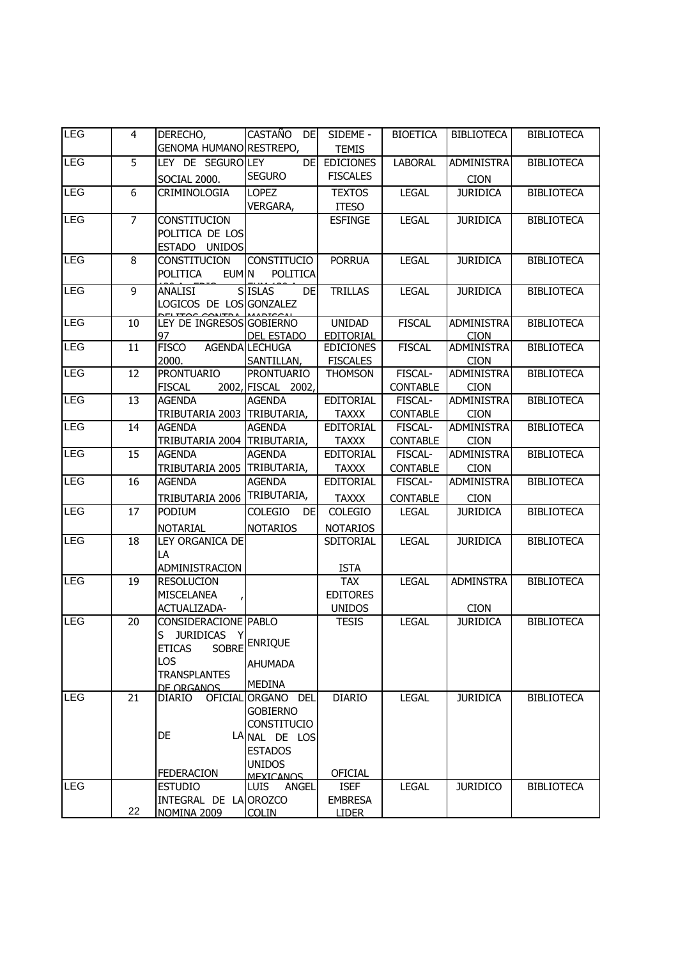| <b>LEG</b> | $\overline{4}$ | DERECHO,                          | CASTAÑO DE                      | SIDEME -                          | <b>BIOETICA</b> | <b>BIBLIOTECA</b>                | <b>BIBLIOTECA</b> |
|------------|----------------|-----------------------------------|---------------------------------|-----------------------------------|-----------------|----------------------------------|-------------------|
|            |                | GENOMA HUMANO RESTREPO,           |                                 | <b>TEMIS</b>                      |                 |                                  |                   |
| LEG        | $\overline{5}$ | LEY DE SEGUROLEY                  | <b>DEI</b>                      | <b>EDICIONES</b>                  | <b>LABORAL</b>  | <b>ADMINISTRA</b>                | <b>BIBLIOTECA</b> |
|            |                | SOCIAL 2000.                      | <b>SEGURO</b>                   | <b>FISCALES</b>                   |                 | <b>CION</b>                      |                   |
| <b>LEG</b> | 6              | CRIMINOLOGIA                      | <b>LOPEZ</b>                    | <b>TEXTOS</b>                     | <b>LEGAL</b>    | <b>JURIDICA</b>                  | <b>BIBLIOTECA</b> |
|            |                |                                   | VERGARA,                        | <b>ITESO</b>                      |                 |                                  |                   |
| <b>LEG</b> | $\overline{7}$ | CONSTITUCION                      |                                 | <b>ESFINGE</b>                    | <b>LEGAL</b>    | <b>JURIDICA</b>                  | <b>BIBLIOTECA</b> |
|            |                | POLITICA DE LOS                   |                                 |                                   |                 |                                  |                   |
|            |                | ESTADO UNIDOS                     |                                 |                                   |                 |                                  |                   |
| <b>LEG</b> | 8              | CONSTITUCION                      | <b>CONSTITUCIO</b>              | <b>PORRUA</b>                     | <b>LEGAL</b>    | <b>JURIDICA</b>                  | <b>BIBLIOTECA</b> |
|            |                | EUM <sub>N</sub><br>POLITICA      | POLITICA                        |                                   |                 |                                  |                   |
| <b>LEG</b> | $\overline{9}$ | ANALISI                           | <b>SISLAS</b><br>DE             | <b>TRILLAS</b>                    | <b>LEGAL</b>    | <b>JURIDICA</b>                  | <b>BIBLIOTECA</b> |
|            |                | LOGICOS DE LOS GONZALEZ           |                                 |                                   |                 |                                  |                   |
| <b>LEG</b> | 10             | LEY DE INGRESOS GOBIERNO          |                                 | <b>UNIDAD</b>                     | <b>FISCAL</b>   | <b>ADMINISTRA</b>                | <b>BIBLIOTECA</b> |
|            |                | 97                                | <b>DEL ESTADO</b>               | EDITORIAL                         |                 | <b>CION</b>                      |                   |
| <b>LEG</b> | 11             | <b>FISCO</b>                      | AGENDA LECHUGA                  | <b>EDICIONES</b>                  | <b>FISCAL</b>   | <b>ADMINISTRA</b>                | <b>BIBLIOTECA</b> |
| <b>LEG</b> | 12             | 2000.<br><b>PRONTUARIO</b>        | SANTILLAN,<br><b>PRONTUARIO</b> | <b>FISCALES</b><br><b>THOMSON</b> | FISCAL-         | <b>CION</b><br><b>ADMINISTRA</b> | <b>BIBLIOTECA</b> |
|            |                | <b>FISCAL</b>                     | 2002, FISCAL 2002,              |                                   | <b>CONTABLE</b> | <b>CION</b>                      |                   |
| LEG        | 13             | <b>AGENDA</b>                     | <b>AGENDA</b>                   | <b>EDITORIAL</b>                  | FISCAL-         | <b>ADMINISTRA</b>                | <b>BIBLIOTECA</b> |
|            |                | TRIBUTARIA 2003 TRIBUTARIA,       |                                 | <b>TAXXX</b>                      | <b>CONTABLE</b> | <b>CION</b>                      |                   |
| <b>LEG</b> | 14             | <b>AGENDA</b>                     | <b>AGENDA</b>                   | <b>EDITORIAL</b>                  | FISCAL-         | <b>ADMINISTRA</b>                | <b>BIBLIOTECA</b> |
|            |                | TRIBUTARIA 2004 TRIBUTARIA,       |                                 | <b>TAXXX</b>                      | <b>CONTABLE</b> | <b>CION</b>                      |                   |
| LEG        | 15             | <b>AGENDA</b>                     | <b>AGENDA</b>                   | <b>EDITORIAL</b>                  | FISCAL-         | <b>ADMINISTRA</b>                | <b>BIBLIOTECA</b> |
|            |                | TRIBUTARIA 2005 TRIBUTARIA,       |                                 | <b>TAXXX</b>                      | <b>CONTABLE</b> | <b>CION</b>                      |                   |
| <b>LEG</b> | 16             | <b>AGENDA</b>                     | <b>AGENDA</b>                   | <b>EDITORIAL</b>                  | FISCAL-         | <b>ADMINISTRA</b>                | <b>BIBLIOTECA</b> |
|            |                | TRIBUTARIA 2006                   | TRIBUTARIA,                     | <b>TAXXX</b>                      | <b>CONTABLE</b> | <b>CION</b>                      |                   |
| <b>LEG</b> | 17             | PODIUM                            | COLEGIO<br><b>DE</b>            | COLEGIO                           | <b>LEGAL</b>    | <b>JURIDICA</b>                  | <b>BIBLIOTECA</b> |
|            |                | <b>NOTARIAL</b>                   | <b>NOTARIOS</b>                 | <b>NOTARIOS</b>                   |                 |                                  |                   |
| <b>LEG</b> | <sup>18</sup>  | LEY ORGANICA DE                   |                                 | SDITORIAL                         | <b>LEGAL</b>    | <b>JURIDICA</b>                  | <b>BIBLIOTECA</b> |
|            |                | LA                                |                                 |                                   |                 |                                  |                   |
|            |                | ADMINISTRACION                    |                                 | <b>ISTA</b>                       |                 |                                  |                   |
| LEG        | 19             | <b>RESOLUCION</b>                 |                                 | <b>TAX</b>                        | <b>LEGAL</b>    | <b>ADMINSTRA</b>                 | <b>BIBLIOTECA</b> |
|            |                | <b>MISCELANEA</b><br>ACTUALIZADA- |                                 | <b>EDITORES</b><br><b>UNIDOS</b>  |                 | <b>CION</b>                      |                   |
| <b>LEG</b> | 20             | CONSIDERACIONE PABLO              |                                 | <b>TESIS</b>                      | <b>LEGAL</b>    | <b>JURIDICA</b>                  | <b>BIBLIOTECA</b> |
|            |                | S JURIDICAS Y                     |                                 |                                   |                 |                                  |                   |
|            |                | <b>ETICAS</b>                     | SOBRE ENRIQUE                   |                                   |                 |                                  |                   |
|            |                | LOS                               | <b>AHUMADA</b>                  |                                   |                 |                                  |                   |
|            |                | <b>TRANSPLANTES</b>               |                                 |                                   |                 |                                  |                   |
|            |                | DE ORGANOS                        | <b>MEDINA</b>                   |                                   |                 |                                  |                   |
| <b>LEG</b> | 21             | DIARIO                            | OFICIAL ORGANO DEL              | <b>DIARIO</b>                     | <b>LEGAL</b>    | <b>JURIDICA</b>                  | <b>BIBLIOTECA</b> |
|            |                |                                   | <b>GOBIERNO</b><br>CONSTITUCIO  |                                   |                 |                                  |                   |
|            |                | DE                                | LA NAL DE LOS                   |                                   |                 |                                  |                   |
|            |                |                                   | <b>ESTADOS</b>                  |                                   |                 |                                  |                   |
|            |                |                                   | <b>UNIDOS</b>                   |                                   |                 |                                  |                   |
|            |                | <b>FEDERACION</b>                 | <b>MEXICANOS</b>                | <b>OFICIAL</b>                    |                 |                                  |                   |
| <b>LEG</b> |                | <b>ESTUDIO</b>                    | LUIS ANGEL                      | <b>ISEF</b>                       | <b>LEGAL</b>    | <b>JURIDICO</b>                  | <b>BIBLIOTECA</b> |
|            | 22             | INTEGRAL DE LA OROZCO             |                                 | <b>EMBRESA</b>                    |                 |                                  |                   |
|            |                | NOMINA 2009                       | <b>COLIN</b>                    | <b>LIDER</b>                      |                 |                                  |                   |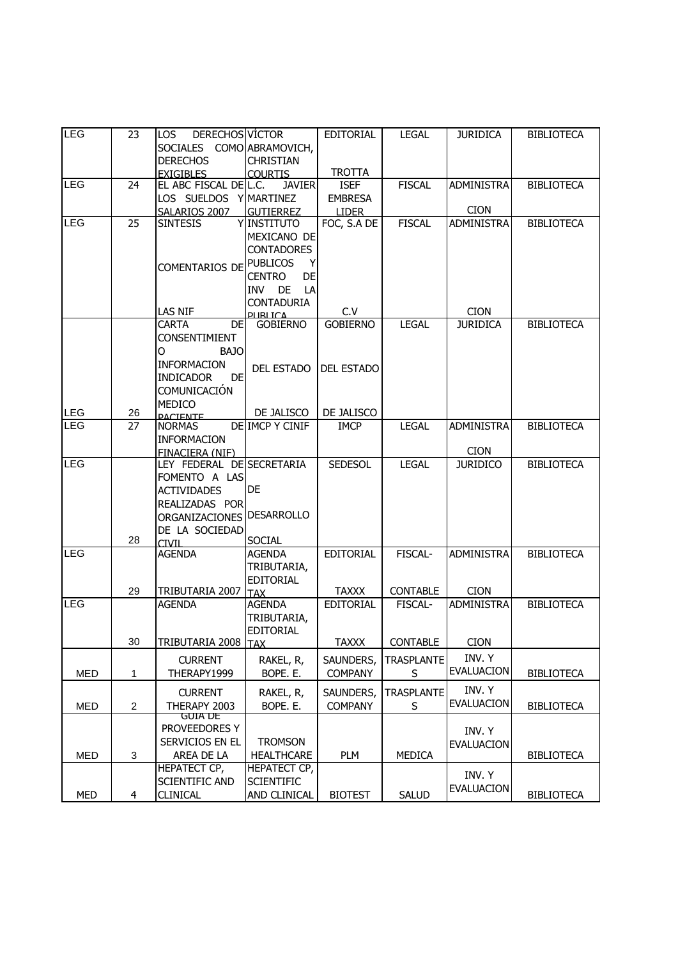| <b>LEG</b> | 23             | DERECHOS VÍCTOR<br>LOS.          |                                        | EDITORIAL         | <b>LEGAL</b>      | <b>JURIDICA</b>   | <b>BIBLIOTECA</b> |
|------------|----------------|----------------------------------|----------------------------------------|-------------------|-------------------|-------------------|-------------------|
|            |                | SOCIALES COMO ABRAMOVICH,        |                                        |                   |                   |                   |                   |
|            |                | <b>DERECHOS</b>                  | <b>CHRISTIAN</b>                       |                   |                   |                   |                   |
|            |                | <b>EXIGIBLES</b>                 | <b>COURTIS</b>                         | <b>TROTTA</b>     |                   |                   |                   |
| <b>LEG</b> | 24             | EL ABC FISCAL DEL.C.             | <b>JAVIER</b>                          | <b>ISEF</b>       | <b>FISCAL</b>     | <b>ADMINISTRA</b> | <b>BIBLIOTECA</b> |
|            |                | LOS SUELDOS Y MARTINEZ           |                                        | <b>EMBRESA</b>    |                   |                   |                   |
|            |                | SALARIOS 2007                    | <b>GUTIERREZ</b>                       | <b>LIDER</b>      |                   | <b>CION</b>       |                   |
| <b>LEG</b> | 25             | <b>SINTESIS</b>                  | Y INSTITUTO                            | FOC, S.A DE       | <b>FISCAL</b>     | <b>ADMINISTRA</b> | <b>BIBLIOTECA</b> |
|            |                |                                  | MEXICANO DE                            |                   |                   |                   |                   |
|            |                |                                  | <b>CONTADORES</b>                      |                   |                   |                   |                   |
|            |                | COMENTARIOS DE                   | <b>PUBLICOS</b><br>Y                   |                   |                   |                   |                   |
|            |                |                                  | <b>DE</b><br><b>CENTRO</b>             |                   |                   |                   |                   |
|            |                |                                  | INV DE<br>LA                           |                   |                   |                   |                   |
|            |                | LAS NIF                          | <b>CONTADURIA</b><br><b>DI IRI TCA</b> | C.V               |                   | <b>CION</b>       |                   |
|            |                | <b>CARTA</b><br>DEI              | <b>GOBIERNO</b>                        | <b>GOBIERNO</b>   | <b>LEGAL</b>      | <b>JURIDICA</b>   | <b>BIBLIOTECA</b> |
|            |                | CONSENTIMIENT                    |                                        |                   |                   |                   |                   |
|            |                | <b>BAJO</b><br>O                 |                                        |                   |                   |                   |                   |
|            |                | <b>INFORMACION</b>               |                                        |                   |                   |                   |                   |
|            |                | <b>INDICADOR</b><br><b>DE</b>    | <b>DEL ESTADO</b>                      | <b>DEL ESTADO</b> |                   |                   |                   |
|            |                | COMUNICACIÓN                     |                                        |                   |                   |                   |                   |
|            |                | <b>MEDICO</b>                    |                                        |                   |                   |                   |                   |
| <b>LEG</b> | 26             | <b>PACIENTE</b>                  | DE JALISCO                             | DE JALISCO        |                   |                   |                   |
| <b>LEG</b> | 27             | <b>NORMAS</b>                    | <b>DE IMCP Y CINIF</b>                 | <b>IMCP</b>       | <b>LEGAL</b>      | <b>ADMINISTRA</b> | <b>BIBLIOTECA</b> |
|            |                | <b>INFORMACION</b>               |                                        |                   |                   |                   |                   |
|            |                | FINACIERA (NIF)                  |                                        |                   |                   | <b>CION</b>       |                   |
| LEG        |                | LEY FEDERAL DE SECRETARIA        |                                        | <b>SEDESOL</b>    | <b>LEGAL</b>      | <b>JURIDICO</b>   | <b>BIBLIOTECA</b> |
|            |                | FOMENTO A LAS                    | DE                                     |                   |                   |                   |                   |
|            |                | <b>ACTIVIDADES</b>               |                                        |                   |                   |                   |                   |
|            |                | REALIZADAS POR<br>ORGANIZACIONES | <b>DESARROLLO</b>                      |                   |                   |                   |                   |
|            |                | DE LA SOCIEDAD                   |                                        |                   |                   |                   |                   |
|            | 28             | <b>CIVIL</b>                     | <b>SOCIAL</b>                          |                   |                   |                   |                   |
| LEG        |                | <b>AGENDA</b>                    | <b>AGENDA</b>                          | <b>EDITORIAL</b>  | FISCAL-           | <b>ADMINISTRA</b> | <b>BIBLIOTECA</b> |
|            |                |                                  | TRIBUTARIA,                            |                   |                   |                   |                   |
|            |                |                                  | EDITORIAL                              |                   |                   |                   |                   |
|            | 29             | TRIBUTARIA 2007                  | <b>TAX</b>                             | <b>TAXXX</b>      | <b>CONTABLE</b>   | <b>CION</b>       |                   |
| <b>LEG</b> |                | <b>AGENDA</b>                    | <b>AGENDA</b>                          | <b>EDITORIAL</b>  | FISCAL-           | <b>ADMINISTRA</b> | <b>BIBLIOTECA</b> |
|            |                |                                  | TRIBUTARIA,                            |                   |                   |                   |                   |
|            |                |                                  | EDITORIAL                              |                   |                   |                   |                   |
|            | 30             | TRIBUTARIA 2008   TAX            |                                        | <b>TAXXX</b>      | <b>CONTABLE</b>   | <b>CION</b>       |                   |
|            |                | <b>CURRENT</b>                   | RAKEL, R,                              | SAUNDERS,         | <b>TRASPLANTE</b> | INV. Y            |                   |
| MED        | 1              | THERAPY1999                      | BOPE. E.                               | <b>COMPANY</b>    | S                 | <b>EVALUACION</b> | <b>BIBLIOTECA</b> |
|            |                | <b>CURRENT</b>                   | RAKEL, R,                              | SAUNDERS,         | <b>TRASPLANTE</b> | INV. Y            |                   |
| MED        | $\overline{2}$ | THERAPY 2003                     | BOPE. E.                               | <b>COMPANY</b>    | S                 | <b>EVALUACION</b> | <b>BIBLIOTECA</b> |
|            |                | guia de                          |                                        |                   |                   |                   |                   |
|            |                | PROVEEDORES Y                    |                                        |                   |                   | INV. Y            |                   |
|            |                | SERVICIOS EN EL                  | <b>TROMSON</b>                         |                   |                   | <b>EVALUACION</b> |                   |
| <b>MED</b> | 3              | AREA DE LA                       | <b>HEALTHCARE</b>                      | PLM               | <b>MEDICA</b>     |                   | <b>BIBLIOTECA</b> |
|            |                | HEPATECT CP,                     | <b>HEPATECT CP,</b>                    |                   |                   | INV. Y            |                   |
|            |                | <b>SCIENTIFIC AND</b>            | <b>SCIENTIFIC</b>                      |                   |                   | <b>EVALUACION</b> |                   |
| MED        | $\overline{4}$ | <b>CLINICAL</b>                  | AND CLINICAL                           | <b>BIOTEST</b>    | <b>SALUD</b>      |                   | <b>BIBLIOTECA</b> |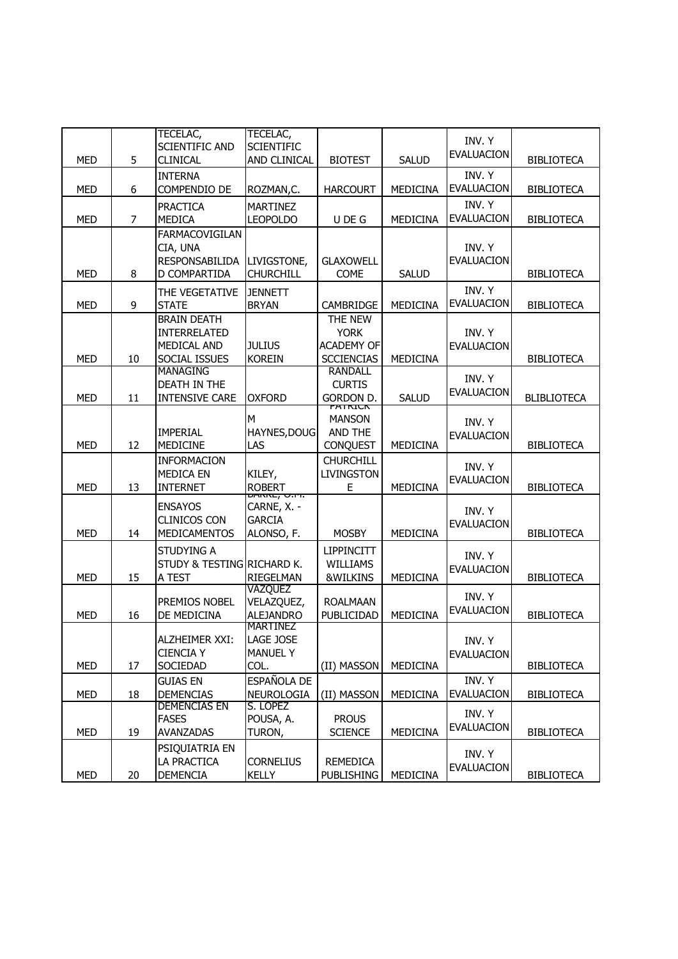|            |                | TECELAC,<br><b>SCIENTIFIC AND</b>                                  | TECELAC,<br><b>SCIENTIFIC</b>                                        |                                                                  |                 | INV. Y<br><b>EVALUACION</b> |                    |
|------------|----------------|--------------------------------------------------------------------|----------------------------------------------------------------------|------------------------------------------------------------------|-----------------|-----------------------------|--------------------|
| <b>MED</b> | 5              | <b>CLINICAL</b><br><b>INTERNA</b>                                  | AND CLINICAL                                                         | <b>BIOTEST</b>                                                   | <b>SALUD</b>    | INV. Y                      | <b>BIBLIOTECA</b>  |
| <b>MED</b> | 6              | COMPENDIO DE                                                       | ROZMAN,C.                                                            | <b>HARCOURT</b>                                                  | MEDICINA        | <b>EVALUACION</b>           | <b>BIBLIOTECA</b>  |
| <b>MED</b> | $\overline{7}$ | <b>PRACTICA</b><br><b>MEDICA</b>                                   | <b>MARTINEZ</b><br><b>LEOPOLDO</b>                                   | U DE G                                                           | MEDICINA        | INV. Y<br><b>EVALUACION</b> | <b>BIBLIOTECA</b>  |
| <b>MED</b> | 8              | FARMACOVIGILAN<br>CIA, UNA<br>RESPONSABILIDA<br>D COMPARTIDA       | LIVIGSTONE,<br><b>CHURCHILL</b>                                      | <b>GLAXOWELL</b><br><b>COME</b>                                  | <b>SALUD</b>    | INV. Y<br><b>EVALUACION</b> | <b>BIBLIOTECA</b>  |
| <b>MED</b> | 9              | THE VEGETATIVE<br><b>STATE</b>                                     | <b>JENNETT</b><br><b>BRYAN</b>                                       | CAMBRIDGE                                                        | MEDICINA        | INV. Y<br><b>EVALUACION</b> | <b>BIBLIOTECA</b>  |
| <b>MED</b> | 10             | <b>BRAIN DEATH</b><br>INTERRELATED<br>MEDICAL AND<br>SOCIAL ISSUES | <b>JULIUS</b><br><b>KOREIN</b>                                       | THE NEW<br><b>YORK</b><br><b>ACADEMY OF</b><br><b>SCCIENCIAS</b> | MEDICINA        | INV. Y<br><b>EVALUACION</b> | <b>BIBLIOTECA</b>  |
| <b>MED</b> | 11             | <b>MANAGING</b><br>DEATH IN THE<br><b>INTENSIVE CARE</b>           | <b>OXFORD</b>                                                        | <b>RANDALL</b><br><b>CURTIS</b><br>GORDON D.                     | <b>SALUD</b>    | INV. Y<br><b>EVALUACION</b> | <b>BLIBLIOTECA</b> |
| <b>MED</b> | 12             | <b>IMPERIAL</b><br><b>MEDICINE</b>                                 | M<br>HAYNES, DOUG<br>LAS                                             | <b>PATRICK</b><br><b>MANSON</b><br>AND THE<br><b>CONQUEST</b>    | <b>MEDICINA</b> | INV. Y<br><b>EVALUACION</b> | <b>BIBLIOTECA</b>  |
| <b>MED</b> | 13             | <b>INFORMACION</b><br><b>MEDICA EN</b><br><b>INTERNET</b>          | KILEY,<br><b>ROBERT</b>                                              | <b>CHURCHILL</b><br><b>LIVINGSTON</b><br>Е                       | <b>MEDICINA</b> | INV. Y<br><b>EVALUACION</b> | <b>BIBLIOTECA</b>  |
| <b>MED</b> | 14             | <b>ENSAYOS</b><br><b>CLINICOS CON</b><br><b>MEDICAMENTOS</b>       | <del>התולכן סחיה</del><br>CARNE, X. -<br><b>GARCIA</b><br>ALONSO, F. | <b>MOSBY</b>                                                     | <b>MEDICINA</b> | INV. Y<br><b>EVALUACION</b> | <b>BIBLIOTECA</b>  |
| <b>MED</b> | 15             | <b>STUDYING A</b><br>STUDY & TESTING RICHARD K.<br>A TEST          | <b>RIEGELMAN</b>                                                     | <b>LIPPINCITT</b><br>WILLIAMS<br>&WILKINS                        | <b>MEDICINA</b> | INV. Y<br><b>EVALUACION</b> | <b>BIBLIOTECA</b>  |
| <b>MED</b> | 16             | PREMIOS NOBEL<br>DE MEDICINA                                       | VAZQUEZ<br>VELAZQUEZ,<br><b>ALEJANDRO</b><br>MARTINEZ                | <b>ROALMAAN</b><br>PUBLICIDAD                                    | MEDICINA        | INV. Y<br><b>EVALUACION</b> | <b>BIBLIOTECA</b>  |
| <b>MED</b> | 17             | ALZHEIMER XXI:<br><b>CIENCIA Y</b><br>SOCIEDAD                     | LAGE JOSE<br><b>MANUEL Y</b><br>COL.                                 | (II) MASSON                                                      | MEDICINA        | INV. Y<br><b>EVALUACION</b> | <b>BIBLIOTECA</b>  |
| <b>MED</b> | 18             | <b>GUIAS EN</b><br><b>DEMENCIAS</b>                                | ESPAÑOLA DE<br>NEUROLOGIA                                            | (II) MASSON                                                      | <b>MEDICINA</b> | INV. Y<br><b>EVALUACION</b> | <b>BIBLIOTECA</b>  |
| <b>MED</b> | 19             | <b>DEMENCIAS EN</b><br><b>FASES</b><br>AVANZADAS                   | S. LOPEZ<br>POUSA, A.<br>TURON,                                      | <b>PROUS</b><br><b>SCIENCE</b>                                   | MEDICINA        | INV. Y<br><b>EVALUACION</b> | <b>BIBLIOTECA</b>  |
| <b>MED</b> | 20             | PSIQUIATRIA EN<br>LA PRACTICA<br><b>DEMENCIA</b>                   | <b>CORNELIUS</b><br><b>KELLY</b>                                     | REMEDICA<br><b>PUBLISHING</b>                                    | <b>MEDICINA</b> | INV. Y<br><b>EVALUACION</b> | <b>BIBLIOTECA</b>  |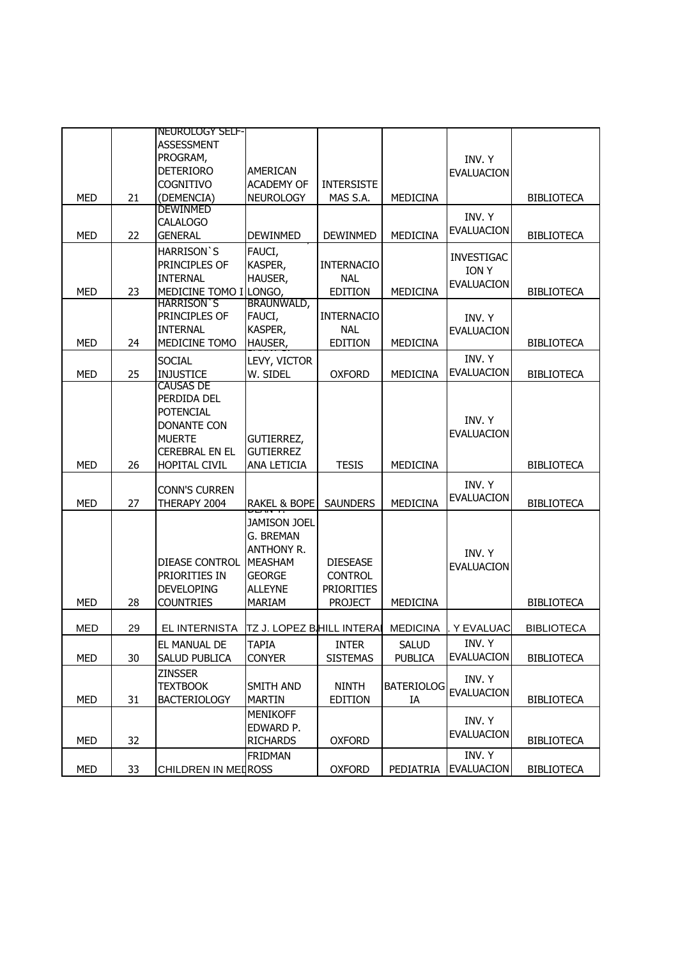|            |    | <b>NEUROLOGY SELF-</b> |                                   |                   |                   |                   |                   |
|------------|----|------------------------|-----------------------------------|-------------------|-------------------|-------------------|-------------------|
|            |    | <b>ASSESSMENT</b>      |                                   |                   |                   |                   |                   |
|            |    | PROGRAM,               |                                   |                   |                   | INV. Y            |                   |
|            |    | <b>DETERIORO</b>       | AMERICAN                          |                   |                   | <b>EVALUACION</b> |                   |
|            |    | <b>COGNITIVO</b>       | <b>ACADEMY OF</b>                 | <b>INTERSISTE</b> |                   |                   |                   |
| <b>MED</b> | 21 | (DEMENCIA)             | <b>NEUROLOGY</b>                  | MAS S.A.          | MEDICINA          |                   | <b>BIBLIOTECA</b> |
|            |    | DEWINMED               |                                   |                   |                   | INV. Y            |                   |
|            |    | <b>CALALOGO</b>        |                                   |                   |                   | <b>EVALUACION</b> |                   |
| <b>MED</b> | 22 | <b>GENERAL</b>         | <b>DEWINMED</b>                   | <b>DEWINMED</b>   | MEDICINA          |                   | <b>BIBLIOTECA</b> |
|            |    | <b>HARRISON'S</b>      | FAUCI,                            |                   |                   | <b>INVESTIGAC</b> |                   |
|            |    | PRINCIPLES OF          | KASPER,                           | <b>INTERNACIO</b> |                   | <b>ION Y</b>      |                   |
|            |    | <b>INTERNAL</b>        | HAUSER,                           | <b>NAL</b>        |                   | <b>EVALUACION</b> |                   |
| <b>MED</b> | 23 | MEDICINE TOMO I LONGO, |                                   | <b>EDITION</b>    | <b>MEDICINA</b>   |                   | <b>BIBLIOTECA</b> |
|            |    | <b>HARRISON S</b>      | BRAUNWALD,                        |                   |                   |                   |                   |
|            |    | PRINCIPLES OF          | FAUCI,                            | <b>INTERNACIO</b> |                   | INV. Y            |                   |
|            |    | <b>INTERNAL</b>        | KASPER,                           | <b>NAL</b>        |                   | <b>EVALUACION</b> |                   |
| <b>MED</b> | 24 | MEDICINE TOMO          | HAUSER,                           | <b>EDITION</b>    | MEDICINA          |                   | <b>BIBLIOTECA</b> |
|            |    | <b>SOCIAL</b>          | LEVY, VICTOR                      |                   |                   | INV. Y            |                   |
| <b>MED</b> | 25 | <b>INJUSTICE</b>       | W. SIDEL                          | <b>OXFORD</b>     | MEDICINA          | <b>EVALUACION</b> | <b>BIBLIOTECA</b> |
|            |    | <b>CAUSAS DE</b>       |                                   |                   |                   |                   |                   |
|            |    | PERDIDA DEL            |                                   |                   |                   |                   |                   |
|            |    | <b>POTENCIAL</b>       |                                   |                   |                   | INV. Y            |                   |
|            |    | <b>DONANTE CON</b>     |                                   |                   |                   | <b>EVALUACION</b> |                   |
|            |    | <b>MUERTE</b>          | GUTIERREZ,                        |                   |                   |                   |                   |
|            |    | <b>CEREBRAL EN EL</b>  | <b>GUTIERREZ</b>                  |                   |                   |                   |                   |
| <b>MED</b> | 26 | <b>HOPITAL CIVIL</b>   | ANA LETICIA                       | <b>TESIS</b>      | MEDICINA          |                   | <b>BIBLIOTECA</b> |
|            |    | <b>CONN'S CURREN</b>   |                                   |                   |                   | INV. Y            |                   |
| <b>MED</b> | 27 |                        | RAKEL & BOPE                      | <b>SAUNDERS</b>   | MEDICINA          | <b>EVALUACION</b> |                   |
|            |    | THERAPY 2004           |                                   |                   |                   |                   | <b>BIBLIOTECA</b> |
|            |    |                        | Jamison Joel                      |                   |                   |                   |                   |
|            |    |                        | G. BREMAN                         |                   |                   |                   |                   |
|            |    |                        | <b>ANTHONY R.</b>                 |                   |                   | INV. Y            |                   |
|            |    | DIEASE CONTROL         | <b>MEASHAM</b>                    | <b>DIESEASE</b>   |                   | <b>EVALUACION</b> |                   |
|            |    | PRIORITIES IN          | <b>GEORGE</b>                     | <b>CONTROL</b>    |                   |                   |                   |
|            |    | <b>DEVELOPING</b>      | <b>ALLEYNE</b>                    | <b>PRIORITIES</b> |                   |                   |                   |
| <b>MED</b> | 28 | <b>COUNTRIES</b>       | <b>MARIAM</b>                     | <b>PROJECT</b>    | MEDICINA          |                   | <b>BIBLIOTECA</b> |
|            |    |                        |                                   |                   |                   |                   |                   |
| <b>MED</b> | 29 | EL INTERNISTA          | <b>TZ J. LOPEZ BIHILL INTERAI</b> |                   | <b>MEDICINA</b>   | . Y EVALUAC       | <b>BIBLIOTECA</b> |
|            |    | EL MANUAL DE           | <b>TAPIA</b>                      | <b>INTER</b>      | <b>SALUD</b>      | INV. Y            |                   |
| <b>MED</b> | 30 | <b>SALUD PUBLICA</b>   | <b>CONYER</b>                     | <b>SISTEMAS</b>   | <b>PUBLICA</b>    | <b>EVALUACION</b> | <b>BIBLIOTECA</b> |
|            |    | <b>ZINSSER</b>         |                                   |                   |                   |                   |                   |
|            |    | <b>TEXTBOOK</b>        | SMITH AND                         | <b>NINTH</b>      | <b>BATERIOLOG</b> | INV. Y            |                   |
| MED        | 31 | <b>BACTERIOLOGY</b>    | <b>MARTIN</b>                     | <b>EDITION</b>    | IA                | EVALUACION        | <b>BIBLIOTECA</b> |
|            |    |                        | <b>MENIKOFF</b>                   |                   |                   |                   |                   |
|            |    |                        | EDWARD P.                         |                   |                   | INV. Y            |                   |
| MED        | 32 |                        | <b>RICHARDS</b>                   | <b>OXFORD</b>     |                   | EVALUACION        | <b>BIBLIOTECA</b> |
|            |    |                        | <b>FRIDMAN</b>                    |                   |                   | INV. Y            |                   |
| MED        | 33 | CHILDREN IN MEDROSS    |                                   | <b>OXFORD</b>     | PEDIATRIA         | <b>EVALUACION</b> | <b>BIBLIOTECA</b> |
|            |    |                        |                                   |                   |                   |                   |                   |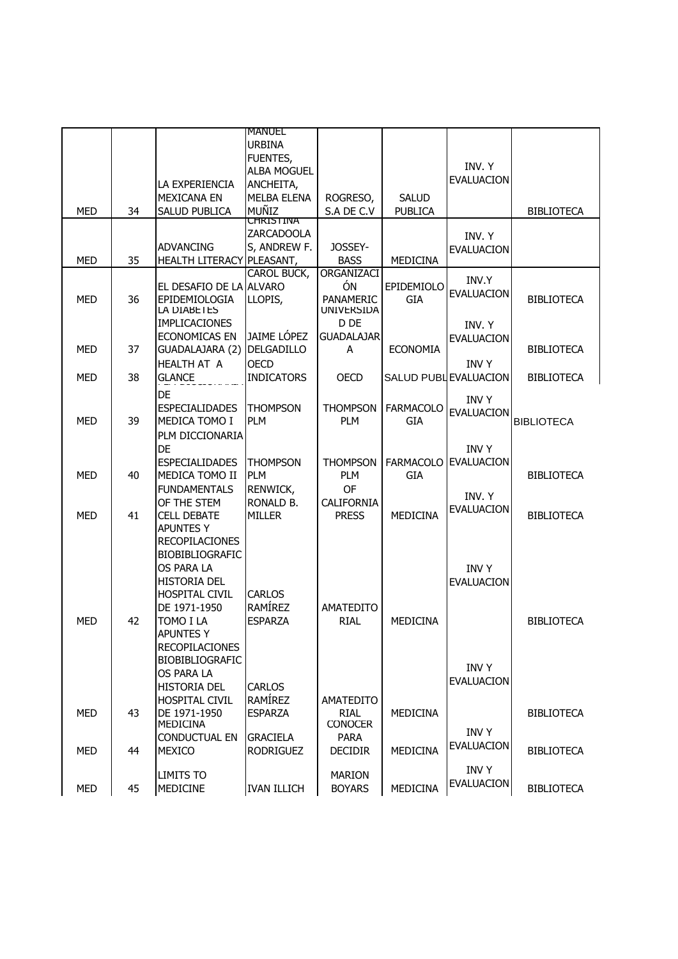|            |    |                              | <b>MANUEL</b>      |                                |                  |                       |                   |
|------------|----|------------------------------|--------------------|--------------------------------|------------------|-----------------------|-------------------|
|            |    |                              | <b>URBINA</b>      |                                |                  |                       |                   |
|            |    |                              | FUENTES,           |                                |                  |                       |                   |
|            |    |                              | <b>ALBA MOGUEL</b> |                                |                  | INV. Y                |                   |
|            |    | LA EXPERIENCIA               | ANCHEITA,          |                                |                  | <b>EVALUACION</b>     |                   |
|            |    | <b>MEXICANA EN</b>           | <b>MELBA ELENA</b> | ROGRESO,                       | <b>SALUD</b>     |                       |                   |
|            |    |                              | MUÑIZ              |                                |                  |                       |                   |
| <b>MED</b> | 34 | SALUD PUBLICA                | CHRISTINA          | S.A DE C.V                     | <b>PUBLICA</b>   |                       | <b>BIBLIOTECA</b> |
|            |    |                              | ZARCADOOLA         |                                |                  |                       |                   |
|            |    | <b>ADVANCING</b>             | S, ANDREW F.       | JOSSEY-                        |                  | INV. Y                |                   |
| <b>MED</b> | 35 | HEALTH LITERACY PLEASANT,    |                    | <b>BASS</b>                    | <b>MEDICINA</b>  | <b>EVALUACION</b>     |                   |
|            |    |                              | CAROL BUCK,        | ORGANIZACI                     |                  |                       |                   |
|            |    |                              |                    | ÓN                             |                  | INV.Y                 |                   |
|            |    | EL DESAFIO DE LA ALVARO      |                    |                                | EPIDEMIOLO       | <b>EVALUACION</b>     |                   |
| <b>MED</b> | 36 | EPIDEMIOLOGIA<br>LA DIABETES | LLOPIS,            | PANAMERIC<br><b>UNIVERSIDA</b> | <b>GIA</b>       |                       | <b>BIBLIOTECA</b> |
|            |    | <b>IMPLICACIONES</b>         |                    | D DE                           |                  |                       |                   |
|            |    |                              |                    |                                |                  | INV. Y                |                   |
|            |    | ECONOMICAS EN                | JAIME LÓPEZ        | <b>GUADALAJAR</b>              |                  | <b>EVALUACION</b>     |                   |
| <b>MED</b> | 37 | GUADALAJARA (2)              | <b>DELGADILLO</b>  | A                              | <b>ECONOMIA</b>  |                       | <b>BIBLIOTECA</b> |
|            |    | <b>HEALTH AT A</b>           | <b>OECD</b>        |                                |                  | <b>INVY</b>           |                   |
| <b>MED</b> | 38 | <b>GLANCE</b>                | <b>INDICATORS</b>  | <b>OECD</b>                    |                  | SALUD PUBL EVALUACION | <b>BIBLIOTECA</b> |
|            |    | DE                           |                    |                                |                  |                       |                   |
|            |    | <b>ESPECIALIDADES</b>        | <b>THOMPSON</b>    | <b>THOMPSON</b>                | <b>FARMACOLO</b> | <b>INVY</b>           |                   |
| <b>MED</b> | 39 | MEDICA TOMO I                | <b>PLM</b>         | <b>PLM</b>                     | GIA              | <b>EVALUACION</b>     | <b>BIBLIOTECA</b> |
|            |    |                              |                    |                                |                  |                       |                   |
|            |    | PLM DICCIONARIA              |                    |                                |                  |                       |                   |
|            |    | DE                           |                    |                                |                  | <b>INVY</b>           |                   |
|            |    | <b>ESPECIALIDADES</b>        | <b>THOMPSON</b>    | <b>THOMPSON</b>                | <b>FARMACOLO</b> | <b>EVALUACION</b>     |                   |
| MED        | 40 | MEDICA TOMO II               | <b>PLM</b>         | <b>PLM</b>                     | GIA              |                       | <b>BIBLIOTECA</b> |
|            |    | <b>FUNDAMENTALS</b>          | RENWICK,           | <b>OF</b>                      |                  | INV. Y                |                   |
|            |    | OF THE STEM                  | RONALD B.          | <b>CALIFORNIA</b>              |                  |                       |                   |
| <b>MED</b> | 41 | <b>CELL DEBATE</b>           | <b>MILLER</b>      | <b>PRESS</b>                   | <b>MEDICINA</b>  | <b>EVALUACION</b>     | <b>BIBLIOTECA</b> |
|            |    | <b>APUNTES Y</b>             |                    |                                |                  |                       |                   |
|            |    | <b>RECOPILACIONES</b>        |                    |                                |                  |                       |                   |
|            |    | BIOBIBLIOGRAFIC              |                    |                                |                  |                       |                   |
|            |    | OS PARA LA                   |                    |                                |                  | <b>INVY</b>           |                   |
|            |    | <b>HISTORIA DEL</b>          |                    |                                |                  | <b>EVALUACION</b>     |                   |
|            |    | <b>HOSPITAL CIVIL</b>        | <b>CARLOS</b>      |                                |                  |                       |                   |
|            |    | DE 1971-1950                 | RAMÍREZ            | <b>AMATEDITO</b>               |                  |                       |                   |
| <b>MED</b> | 42 | TOMO I LA                    | <b>ESPARZA</b>     | <b>RIAL</b>                    | <b>MEDICINA</b>  |                       | <b>BIBLIOTECA</b> |
|            |    |                              |                    |                                |                  |                       |                   |
|            |    | <b>APUNTES Y</b>             |                    |                                |                  |                       |                   |
|            |    | <b>RECOPILACIONES</b>        |                    |                                |                  |                       |                   |
|            |    | <b>BIOBIBLIOGRAFIC</b>       |                    |                                |                  | <b>INVY</b>           |                   |
|            |    | <b>OS PARA LA</b>            |                    |                                |                  | <b>EVALUACION</b>     |                   |
|            |    | <b>HISTORIA DEL</b>          | <b>CARLOS</b>      |                                |                  |                       |                   |
|            |    | <b>HOSPITAL CIVIL</b>        | <b>RAMÍREZ</b>     | <b>AMATEDITO</b>               |                  |                       |                   |
| <b>MED</b> | 43 | DE 1971-1950                 | <b>ESPARZA</b>     | <b>RIAL</b>                    | MEDICINA         |                       | <b>BIBLIOTECA</b> |
|            |    | MEDICINA                     |                    | <b>CONOCER</b>                 |                  | <b>INVY</b>           |                   |
|            |    | <b>CONDUCTUAL EN</b>         | <b>GRACIELA</b>    | <b>PARA</b>                    |                  |                       |                   |
| <b>MFD</b> | 44 | <b>MEXICO</b>                | <b>RODRIGUEZ</b>   | <b>DECIDIR</b>                 | MEDICINA         | <b>EVALUACION</b>     | <b>BIBLIOTECA</b> |
|            |    |                              |                    |                                |                  | <b>INVY</b>           |                   |
|            |    | <b>LIMITS TO</b>             |                    | <b>MARION</b>                  |                  | <b>EVALUACION</b>     |                   |
| MED        | 45 | MEDICINE                     | <b>IVAN ILLICH</b> | <b>BOYARS</b>                  | MEDICINA         |                       | <b>BIBLIOTECA</b> |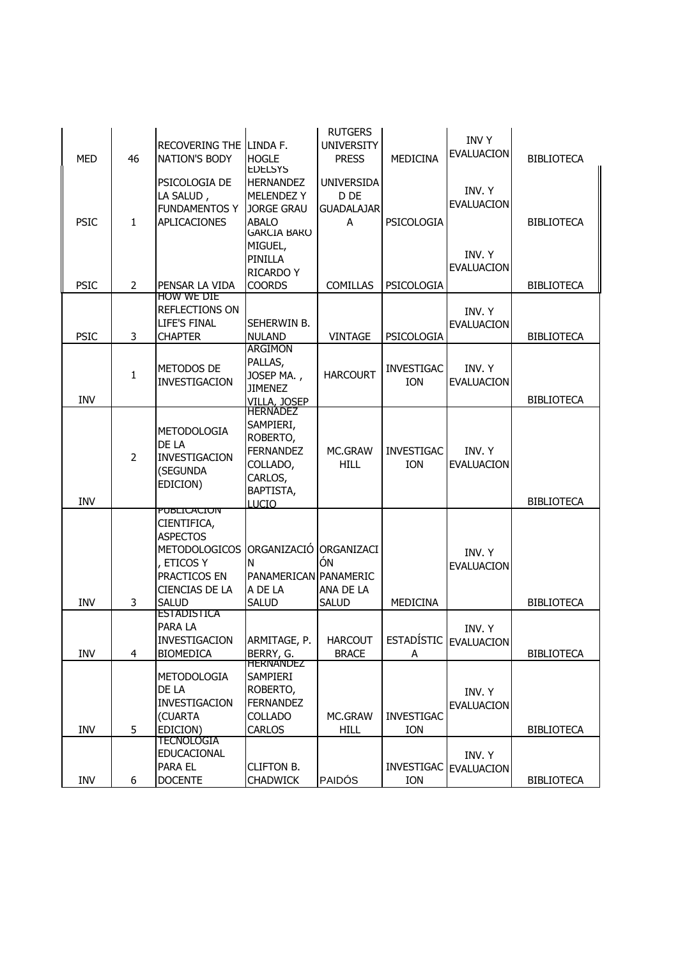| <b>MED</b>  | 46             | RECOVERING THE LINDA F.<br><b>NATION'S BODY</b><br>PSICOLOGIA DE                                                                                  | <b>HOGLE</b><br><b>EDELSYS</b><br><b>HERNANDEZ</b>                                                                 | <b>RUTGERS</b><br><b>UNIVERSITY</b><br><b>PRESS</b><br><b>UNIVERSIDA</b> | <b>MFDICINA</b>                 | <b>INVY</b><br><b>EVALUACION</b> | <b>BIBLIOTECA</b> |
|-------------|----------------|---------------------------------------------------------------------------------------------------------------------------------------------------|--------------------------------------------------------------------------------------------------------------------|--------------------------------------------------------------------------|---------------------------------|----------------------------------|-------------------|
| <b>PSIC</b> | $\mathbf{1}$   | LA SALUD,<br><b>FUNDAMENTOS Y</b><br><b>APLICACIONES</b>                                                                                          | <b>MELENDEZ Y</b><br><b>JORGE GRAU</b><br><b>ABALO</b><br><b>GARCIA BARO</b><br>MIGUEL,                            | D DE<br><b>GUADALAJAR</b><br>A                                           | PSICOLOGIA                      | INV. Y<br><b>EVALUACION</b>      | <b>BIBLIOTECA</b> |
| <b>PSIC</b> | 2              | PENSAR LA VIDA                                                                                                                                    | PINILLA<br><b>RICARDO Y</b><br><b>COORDS</b>                                                                       | <b>COMILLAS</b>                                                          | PSICOLOGIA                      | INV. Y<br><b>EVALUACION</b>      | <b>BIBLIOTECA</b> |
| <b>PSIC</b> | 3              | <b>HOW WE DIE</b><br>REFLECTIONS ON<br><b>LIFE'S FINAL</b><br><b>CHAPTER</b>                                                                      | SEHERWIN B.<br><b>NULAND</b>                                                                                       | <b>VINTAGE</b>                                                           | PSICOLOGIA                      | INV. Y<br><b>EVALUACION</b>      | <b>BIBLIOTECA</b> |
| INV         | 1              | METODOS DE<br><b>INVESTIGACION</b>                                                                                                                | <b>ARGIMON</b><br>PALLAS,<br>JOSEP MA.,<br><b>JIMENEZ</b>                                                          | <b>HARCOURT</b>                                                          | <b>INVESTIGAC</b><br><b>ION</b> | INV. Y<br><b>EVALUACION</b>      | <b>BIBLIOTECA</b> |
| <b>INV</b>  | $\overline{2}$ | <b>METODOLOGIA</b><br>DE LA<br><b>INVESTIGACION</b><br>(SEGUNDA<br>EDICION)                                                                       | VILLA, JOSEP<br>HERNADEZ<br>SAMPIERI,<br>ROBERTO,<br><b>FERNANDEZ</b><br>COLLADO,<br>CARLOS,<br>BAPTISTA,<br>LUCIO | MC.GRAW<br><b>HILL</b>                                                   | <b>INVESTIGAC</b><br><b>ION</b> | INV. Y<br><b>EVALUACION</b>      | <b>BIBLIOTECA</b> |
| INV         | 3              | <b>PUBLICACION</b><br>CIENTIFICA,<br><b>ASPECTOS</b><br>METODOLOGICOS ORGANIZACIÓ<br>, ETICOS Y<br>PRACTICOS EN<br>CIENCIAS DE LA<br><b>SALUD</b> | N<br>PANAMERICAN PANAMERIC<br>A DE LA<br><b>SALUD</b>                                                              | ORGANIZACI<br>ÓN<br>ANA DE LA<br><b>SALUD</b>                            | MEDICINA                        | INV. Y<br><b>EVALUACION</b>      | <b>BIBLIOTECA</b> |
| INV         | 4              | <b>ESTADISTICA</b><br>PARA LA<br>INVESTIGACION<br><b>BIOMEDICA</b>                                                                                | ARMITAGE, P.<br>BERRY, G.                                                                                          | <b>HARCOUT</b><br><b>BRACE</b>                                           | A                               | INV. Y<br>ESTADÍSTIC EVALUACION  | <b>BIBLIOTECA</b> |
| INV         | 5              | METODOLOGIA<br>DE LA<br>INVESTIGACION<br>(CUARTA<br>EDICION)                                                                                      | <b>HERNANDEZ</b><br>SAMPIERI<br>ROBERTO,<br><b>FERNANDEZ</b><br>COLLADO<br><b>CARLOS</b>                           | MC.GRAW<br><b>HILL</b>                                                   | <b>INVESTIGAC</b><br><b>ION</b> | INV. Y<br><b>EVALUACION</b>      | <b>BIBLIOTECA</b> |
| INV         | 6              | <b>TECNOLOGIA</b><br>EDUCACIONAL<br>PARA EL<br><b>DOCENTE</b>                                                                                     | <b>CLIFTON B.</b><br><b>CHADWICK</b>                                                                               | <b>PAIDÓS</b>                                                            | ION                             | INV. Y<br>INVESTIGAC EVALUACION  | <b>BIBLIOTECA</b> |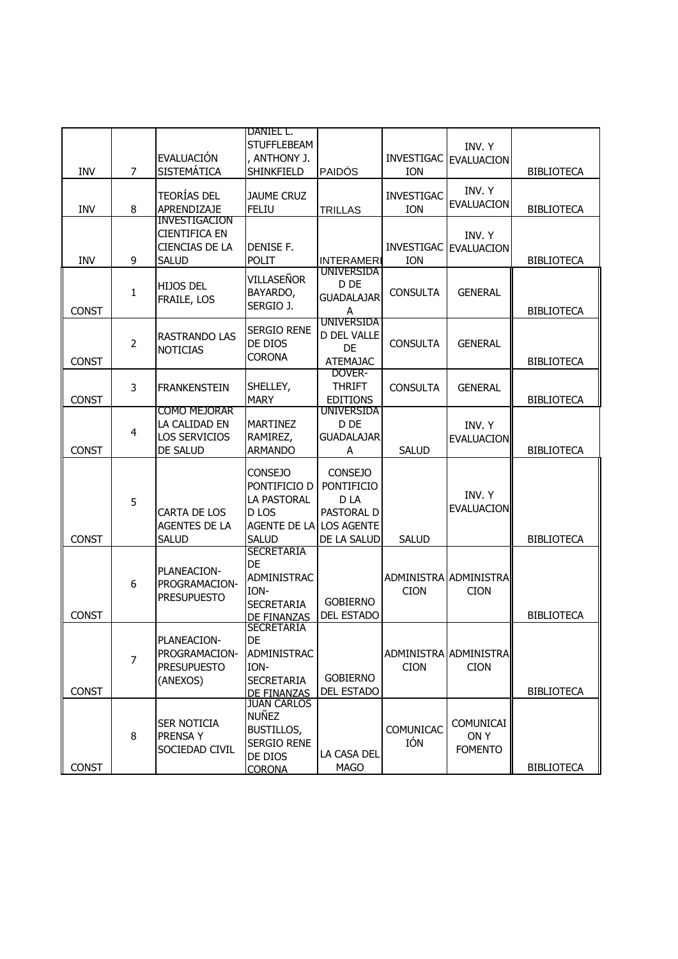|              |                |                                         | DANIEL L.                               |                                        |                          |                                   |                   |
|--------------|----------------|-----------------------------------------|-----------------------------------------|----------------------------------------|--------------------------|-----------------------------------|-------------------|
|              |                | EVALUACIÓN                              | <b>STUFFLEBEAM</b><br>, ANTHONY J.      |                                        |                          | INV. Y<br>INVESTIGAC   EVALUACION |                   |
| INV          | $\overline{7}$ | <b>SISTEMÁTICA</b>                      | SHINKFIELD                              | <b>PAIDÓS</b>                          | ION                      |                                   | <b>BIBLIOTECA</b> |
|              |                |                                         |                                         |                                        |                          | INV. Y                            |                   |
| <b>INV</b>   | 8              | <b>TEORÍAS DEL</b><br>APRENDIZAJE       | <b>JAUME CRUZ</b><br><b>FELIU</b>       |                                        | <b>INVESTIGAC</b><br>ION | EVALUACION                        | <b>BIBLIOTECA</b> |
|              |                | <b>INVESTIGACION</b>                    |                                         | TRILLAS                                |                          |                                   |                   |
|              |                | <b>CIENTIFICA EN</b>                    |                                         |                                        |                          | INV. Y                            |                   |
|              |                | <b>CIENCIAS DE LA</b>                   | DENISE F.                               |                                        | <b>INVESTIGAC</b>        | <b>EVALUACION</b>                 |                   |
| <b>INV</b>   | 9              | <b>SALUD</b>                            | POLIT                                   | <b>INTERAMERI</b><br><b>UNIVERSIDA</b> | ION                      |                                   | <b>BIBLIOTECA</b> |
|              |                | <b>HIJOS DEL</b>                        | VILLASEÑOR                              | D DE                                   |                          |                                   |                   |
|              | 1              | FRAILE, LOS                             | BAYARDO,<br>SERGIO J.                   | <b>GUADALAJAR</b>                      | <b>CONSULTA</b>          | <b>GENERAL</b>                    |                   |
| <b>CONST</b> |                |                                         |                                         | A<br><b>UNIVERSIDA</b>                 |                          |                                   | <b>BIBLIOTECA</b> |
|              |                | RASTRANDO LAS                           | <b>SERGIO RENE</b>                      | <b>D DEL VALLE</b>                     |                          |                                   |                   |
|              | $\overline{2}$ | <b>NOTICIAS</b>                         | DE DIOS                                 | DE                                     | <b>CONSULTA</b>          | <b>GENERAL</b>                    |                   |
| <b>CONST</b> |                |                                         | <b>CORONA</b>                           | <b>ATEMAJAC</b>                        |                          |                                   | <b>BIBLIOTECA</b> |
|              |                |                                         | SHELLEY,                                | DOVER-<br><b>THRIFT</b>                |                          |                                   |                   |
| <b>CONST</b> | 3              | <b>FRANKENSTEIN</b>                     | <b>MARY</b>                             | <b>EDITIONS</b>                        | <b>CONSULTA</b>          | <b>GENERAL</b>                    | <b>BIBLIOTECA</b> |
|              |                | <b>COMO MEJORAR</b>                     |                                         | UNIVERSIDA                             |                          |                                   |                   |
|              | 4              | LA CALIDAD EN                           | <b>MARTINEZ</b>                         | D DE                                   |                          | INV. Y                            |                   |
| <b>CONST</b> |                | <b>LOS SERVICIOS</b><br><b>DE SALUD</b> | RAMIREZ,<br><b>ARMANDO</b>              | <b>GUADALAJAR</b><br>Α                 | <b>SALUD</b>             | <b>EVALUACION</b>                 | <b>BIBLIOTECA</b> |
|              |                |                                         |                                         |                                        |                          |                                   |                   |
|              |                |                                         | <b>CONSEJO</b>                          | <b>CONSEJO</b>                         |                          |                                   |                   |
|              |                |                                         | PONTIFICIO D<br>LA PASTORAL             | <b>PONTIFICIO</b><br>D LA              |                          | INV. Y                            |                   |
|              | 5              | CARTA DE LOS                            | D <sub>LOS</sub>                        | PASTORAL D                             |                          | <b>EVALUACION</b>                 |                   |
|              |                | AGENTES DE LA                           | AGENTE DE LA LOS AGENTE                 |                                        |                          |                                   |                   |
| <b>CONST</b> |                | <b>SALUD</b>                            | <b>SALUD</b>                            | DE LA SALUD                            | <b>SALUD</b>             |                                   | <b>BIBLIOTECA</b> |
|              |                |                                         | <b>SECRETARIA</b>                       |                                        |                          |                                   |                   |
|              |                | PLANEACION-                             | DE<br>ADMINISTRAC                       |                                        |                          | <b>ADMINISTRA ADMINISTRA</b>      |                   |
|              | 6              | PROGRAMACION-                           | ION-                                    |                                        | <b>CION</b>              | <b>CION</b>                       |                   |
|              |                | <b>PRESUPUESTO</b>                      | <b>SECRETARIA</b>                       | <b>GOBIERNO</b>                        |                          |                                   |                   |
| <b>CONST</b> |                |                                         | <b>DE FINANZAS</b><br><b>SECRETARIA</b> | <b>DEL ESTADO</b>                      |                          |                                   | <b>BIBLIOTECA</b> |
|              |                | PLANEACION-                             | DE                                      |                                        |                          |                                   |                   |
|              |                | PROGRAMACION-                           | <b>ADMINISTRAC</b>                      |                                        |                          | ADMINISTRA ADMINISTRA             |                   |
|              | $\overline{7}$ | <b>PRESUPUESTO</b>                      | ION-                                    |                                        | <b>CION</b>              | <b>CION</b>                       |                   |
| <b>CONST</b> |                | (ANEXOS)                                | <b>SECRETARIA</b>                       | <b>GOBIERNO</b><br>DEL ESTADO          |                          |                                   | <b>BIBLIOTECA</b> |
|              |                |                                         | DE FINANZAS<br>JUAN CARLOS              |                                        |                          |                                   |                   |
|              |                | <b>SER NOTICIA</b>                      | NUÑEZ                                   |                                        |                          | COMUNICAI                         |                   |
|              | 8              | PRENSA Y                                | <b>BUSTILLOS,</b>                       |                                        | COMUNICAC                | ON Y                              |                   |
|              |                | SOCIEDAD CIVIL                          | <b>SERGIO RENE</b>                      | LA CASA DEL                            | IÓN                      | <b>FOMENTO</b>                    |                   |
| <b>CONST</b> |                |                                         | DE DIOS<br><b>CORONA</b>                | <b>MAGO</b>                            |                          |                                   | <b>BIBLIOTECA</b> |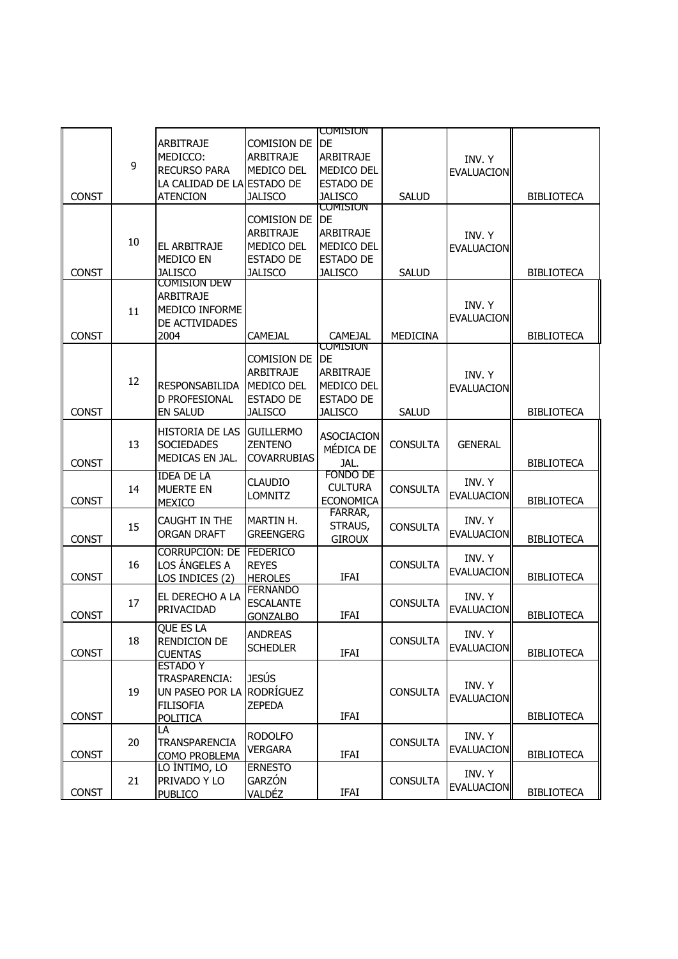|              |    |                                       |                    | <b>CUMISIUN</b>   |                 |                   |                   |
|--------------|----|---------------------------------------|--------------------|-------------------|-----------------|-------------------|-------------------|
|              |    | <b>ARBITRAJE</b>                      | <b>COMISION DE</b> | DE                |                 |                   |                   |
|              |    | MEDICCO:                              | <b>ARBITRAJE</b>   | <b>ARBITRAJE</b>  |                 | INV. Y            |                   |
|              | 9  | <b>RECURSO PARA</b>                   | MEDICO DEL         | MEDICO DEL        |                 | <b>EVALUACION</b> |                   |
|              |    | LA CALIDAD DE LA ESTADO DE            |                    | <b>ESTADO DE</b>  |                 |                   |                   |
| <b>CONST</b> |    | <b>ATENCION</b>                       | <b>JALISCO</b>     | <b>JALISCO</b>    | <b>SALUD</b>    |                   | <b>BIBLIOTECA</b> |
|              |    |                                       |                    | <b>COMISION</b>   |                 |                   |                   |
|              |    |                                       | <b>COMISION DE</b> | DE                |                 |                   |                   |
|              |    |                                       | <b>ARBITRAJE</b>   | <b>ARBITRAJE</b>  |                 |                   |                   |
|              | 10 | EL ARBITRAJE                          | MEDICO DEL         | MEDICO DEL        |                 | INV. Y            |                   |
|              |    | <b>MEDICO EN</b>                      |                    | <b>ESTADO DE</b>  |                 | <b>EVALUACION</b> |                   |
|              |    |                                       | <b>ESTADO DE</b>   |                   |                 |                   |                   |
| <b>CONST</b> |    | <b>JALISCO</b><br><b>COMISION DEW</b> | <b>JALISCO</b>     | <b>JALISCO</b>    | <b>SALUD</b>    |                   | <b>BIBLIOTECA</b> |
|              |    |                                       |                    |                   |                 |                   |                   |
|              |    | <b>ARBITRAJE</b>                      |                    |                   |                 | INV. Y            |                   |
|              | 11 | MEDICO INFORME                        |                    |                   |                 | <b>EVALUACION</b> |                   |
|              |    | DE ACTIVIDADES                        |                    |                   |                 |                   |                   |
| <b>CONST</b> |    | 2004                                  | <b>CAMEJAL</b>     | <b>CAMEJAL</b>    | <b>MEDICINA</b> |                   | <b>BIBLIOTECA</b> |
|              |    |                                       |                    | Comision          |                 |                   |                   |
|              |    |                                       | <b>COMISION DE</b> | <b>DE</b>         |                 |                   |                   |
|              | 12 |                                       | <b>ARBITRAJE</b>   | <b>ARBITRAJE</b>  |                 | INV. Y            |                   |
|              |    | <b>RESPONSABILIDA</b>                 | MEDICO DEL         | MEDICO DEL        |                 | <b>EVALUACION</b> |                   |
|              |    | D PROFESIONAL                         | <b>ESTADO DE</b>   | <b>ESTADO DE</b>  |                 |                   |                   |
| <b>CONST</b> |    | <b>EN SALUD</b>                       | <b>JALISCO</b>     | <b>JALISCO</b>    | <b>SALUD</b>    |                   | <b>BIBLIOTECA</b> |
|              |    | <b>HISTORIA DE LAS</b>                | <b>GUILLERMO</b>   |                   |                 |                   |                   |
|              | 13 | <b>SOCIEDADES</b>                     | <b>ZENTENO</b>     | <b>ASOCIACION</b> | <b>CONSULTA</b> | <b>GENERAL</b>    |                   |
|              |    | MEDICAS EN JAL.                       | <b>COVARRUBIAS</b> | MÉDICA DE         |                 |                   |                   |
| <b>CONST</b> |    |                                       |                    | JAL.              |                 |                   | <b>BIBLIOTECA</b> |
|              |    | <b>IDEA DE LA</b>                     | <b>CLAUDIO</b>     | FONDO DE          |                 | INV. Y            |                   |
|              | 14 | <b>MUERTE EN</b>                      | <b>LOMNITZ</b>     | <b>CULTURA</b>    | <b>CONSULTA</b> | <b>EVALUACION</b> |                   |
| <b>CONST</b> |    | <b>MEXICO</b>                         |                    | <b>ECONOMICA</b>  |                 |                   | <b>BIBLIOTECA</b> |
|              |    | CAUGHT IN THE                         | MARTIN H.          | FARRAR,           |                 | INV. Y            |                   |
|              | 15 | <b>ORGAN DRAFT</b>                    | <b>GREENGERG</b>   | STRAUS,           | <b>CONSULTA</b> | <b>EVALUACION</b> |                   |
| <b>CONST</b> |    |                                       |                    | <b>GIROUX</b>     |                 |                   | <b>BIBLIOTECA</b> |
|              |    | <b>CORRUPCIÓN: DE</b>                 | <b>FEDERICO</b>    |                   |                 | INV. Y            |                   |
|              | 16 | LOS ÁNGELES A                         | <b>REYES</b>       |                   | <b>CONSULTA</b> |                   |                   |
| <b>CONST</b> |    | LOS INDICES (2)                       | <b>HEROLES</b>     | <b>IFAI</b>       |                 | <b>EVALUACION</b> | <b>BIBLIOTECA</b> |
|              |    | EL DERECHO A LA                       | <b>FERNANDO</b>    |                   |                 | INV. Y            |                   |
|              | 17 | PRIVACIDAD                            | <b>ESCALANTE</b>   |                   | <b>CONSULTA</b> | <b>EVALUACION</b> |                   |
| <b>CONST</b> |    |                                       | <b>GONZALBO</b>    | <b>IFAI</b>       |                 |                   | <b>BIBLIOTECA</b> |
|              |    | QUE ES LA                             | <b>ANDREAS</b>     |                   |                 | INV. Y            |                   |
|              | 18 | RENDICION DE                          |                    |                   | <b>CONSULTA</b> |                   |                   |
| <b>CONST</b> |    | <b>CUENTAS</b>                        | <b>SCHEDLER</b>    | IFAI              |                 | <b>EVALUACION</b> | <b>BIBLIOTECA</b> |
|              |    | <b>ESTADO Y</b>                       |                    |                   |                 |                   |                   |
|              |    | TRASPARENCIA:                         | <b>JESÚS</b>       |                   |                 |                   |                   |
|              | 19 | UN PASEO POR LA                       | RODRÍGUEZ          |                   | <b>CONSULTA</b> | INV. Y            |                   |
|              |    | <b>FILISOFIA</b>                      | <b>ZEPEDA</b>      |                   |                 | EVALUACION        |                   |
| <b>CONST</b> |    | POLITICA                              |                    | IFAI              |                 |                   | <b>BIBLIOTECA</b> |
|              |    | LA                                    |                    |                   |                 |                   |                   |
|              | 20 | TRANSPARENCIA                         | <b>RODOLFO</b>     |                   | <b>CONSULTA</b> | INV. Y            |                   |
| <b>CONST</b> |    | COMO PROBLEMA                         | <b>VERGARA</b>     | IFAI              |                 | <b>EVALUACION</b> | <b>BIBLIOTECA</b> |
|              |    | LO ÍNTIMO, LO                         | <b>ERNESTO</b>     |                   |                 |                   |                   |
|              | 21 | PRIVADO Y LO                          | GARZÓN             |                   | <b>CONSULTA</b> | INV. Y            |                   |
| CONST        |    | <b>PUBLICO</b>                        | <u>VALDÉZ</u>      | IFAI              |                 | <b>EVALUACION</b> | <b>BIBLIOTECA</b> |
|              |    |                                       |                    |                   |                 |                   |                   |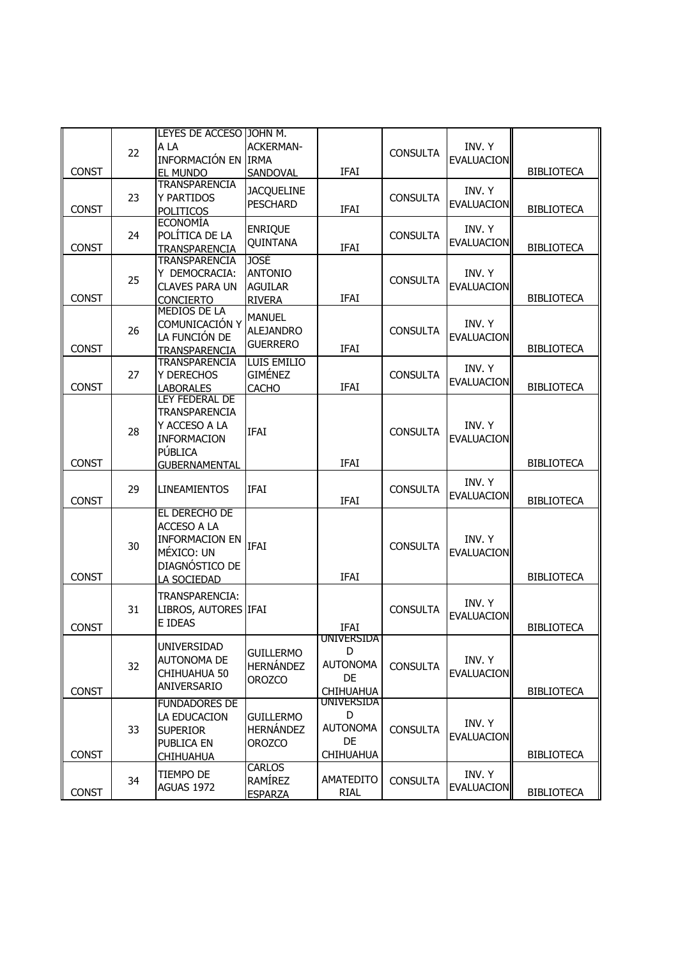|              |    | LEYES DE ACCESO JOHN M.                 |                    |                  |                 |                   |                   |
|--------------|----|-----------------------------------------|--------------------|------------------|-----------------|-------------------|-------------------|
|              | 22 | A LA                                    | <b>ACKERMAN-</b>   |                  | <b>CONSULTA</b> | INV. Y            |                   |
|              |    | INFORMACIÓN EN IRMA                     |                    |                  |                 | <b>EVALUACION</b> |                   |
| <b>CONST</b> |    | <b>EL MUNDO</b>                         | SANDOVAL           | <b>IFAI</b>      |                 |                   | <b>BIBLIOTECA</b> |
|              |    | <b>TRANSPARENCIA</b>                    | <b>JACQUELINE</b>  |                  |                 | INV. Y            |                   |
|              | 23 | Y PARTIDOS                              | <b>PESCHARD</b>    |                  | <b>CONSULTA</b> | <b>EVALUACION</b> |                   |
| <b>CONST</b> |    | <b>POLITICOS</b>                        |                    | <b>IFAI</b>      |                 |                   | <b>BIBLIOTECA</b> |
|              |    | <b>ECONOMÍA</b>                         | <b>ENRIQUE</b>     |                  |                 | INV. Y            |                   |
|              | 24 | POLÍTICA DE LA                          | QUINTANA           |                  | <b>CONSULTA</b> | <b>EVALUACION</b> |                   |
| <b>CONST</b> |    | <b>TRANSPARENCIA</b>                    |                    | <b>IFAI</b>      |                 |                   | <b>BIBLIOTECA</b> |
|              |    | <b>TRANSPARENCIA</b>                    | <b>JOSÉ</b>        |                  |                 |                   |                   |
|              | 25 | Y DEMOCRACIA:                           | <b>ANTONIO</b>     |                  | <b>CONSULTA</b> | INV. Y            |                   |
| <b>CONST</b> |    | <b>CLAVES PARA UN</b>                   | <b>AGUILAR</b>     | <b>IFAI</b>      |                 | <b>EVALUACION</b> |                   |
|              |    | <b>CONCIERTO</b><br><b>MEDIOS DE LA</b> | <b>RIVERA</b>      |                  |                 |                   | <b>BIBLIOTECA</b> |
|              |    | COMUNICACIÓN Y                          | <b>MANUEL</b>      |                  |                 | INV. Y            |                   |
|              | 26 | LA FUNCIÓN DE                           | <b>ALEJANDRO</b>   |                  | <b>CONSULTA</b> |                   |                   |
| <b>CONST</b> |    |                                         | <b>GUERRERO</b>    | IFAI             |                 | <b>EVALUACION</b> | <b>BIBLIOTECA</b> |
|              |    | <b>TRANSPARENCIA</b><br>TRANSPARENCIA   | <b>LUIS EMILIO</b> |                  |                 |                   |                   |
|              | 27 | Y DERECHOS                              | <b>GIMÉNEZ</b>     |                  | <b>CONSULTA</b> | INV. Y            |                   |
| <b>CONST</b> |    | <b>LABORALES</b>                        | <b>CACHO</b>       | <b>IFAI</b>      |                 | <b>EVALUACION</b> | <b>BIBLIOTECA</b> |
|              |    | LEY FEDERAL DE                          |                    |                  |                 |                   |                   |
|              |    | TRANSPARENCIA                           |                    |                  |                 |                   |                   |
|              |    | Y ACCESO A LA                           |                    |                  |                 | INV. Y            |                   |
|              | 28 | <b>INFORMACION</b>                      | <b>IFAI</b>        |                  | <b>CONSULTA</b> | <b>EVALUACION</b> |                   |
|              |    | PÚBLICA                                 |                    |                  |                 |                   |                   |
| <b>CONST</b> |    | <b>GUBERNAMENTAL</b>                    |                    | <b>IFAI</b>      |                 |                   | <b>BIBLIOTECA</b> |
|              |    |                                         |                    |                  |                 | INV. Y            |                   |
|              | 29 | <b>LINEAMIENTOS</b>                     | <b>IFAI</b>        |                  | <b>CONSULTA</b> |                   |                   |
| <b>CONST</b> |    |                                         |                    | <b>IFAI</b>      |                 | <b>EVALUACION</b> | <b>BIBLIOTECA</b> |
|              |    | EL DERECHO DE                           |                    |                  |                 |                   |                   |
|              |    | ACCESO A LA                             |                    |                  |                 |                   |                   |
|              | 30 | <b>INFORMACION EN</b>                   | IFAI               |                  | <b>CONSULTA</b> | INV. Y            |                   |
|              |    | MÉXICO: UN                              |                    |                  |                 | <b>EVALUACION</b> |                   |
|              |    | DIAGNÓSTICO DE                          |                    |                  |                 |                   |                   |
| <b>CONST</b> |    | LA SOCIEDAD                             |                    | IFAI             |                 |                   | <b>BIBLIOTECA</b> |
|              |    | TRANSPARENCIA:                          |                    |                  |                 |                   |                   |
|              | 31 | LIBROS, AUTORES IFAI                    |                    |                  | <b>CONSULTA</b> | INV. Y            |                   |
|              |    | E IDEAS                                 |                    | IFAI             |                 | <b>EVALUACION</b> |                   |
| <b>CONST</b> |    |                                         |                    | UNIVERSIDA       |                 |                   | <b>BIBLIOTECA</b> |
|              |    | UNIVERSIDAD                             | <b>GUILLERMO</b>   | D                |                 |                   |                   |
|              | 32 | <b>AUTONOMA DE</b>                      | <b>HERNÁNDEZ</b>   | <b>AUTONOMA</b>  | <b>CONSULTA</b> | INV. Y            |                   |
|              |    | CHIHUAHUA 50                            | <b>OROZCO</b>      | DE.              |                 | <b>EVALUACION</b> |                   |
| CONST        |    | ANIVERSARIO                             |                    | <b>CHIHUAHUA</b> |                 |                   | <b>BIBLIOTECA</b> |
|              |    | <b>FUNDADORES DE</b>                    |                    | UNIVERSIDA       |                 |                   |                   |
|              |    | LA EDUCACION                            | <b>GUILLERMO</b>   | D                |                 |                   |                   |
|              | 33 | <b>SUPERIOR</b>                         | <b>HERNÁNDEZ</b>   | <b>AUTONOMA</b>  | <b>CONSULTA</b> | INV. Y            |                   |
|              |    | PUBLICA EN                              | <b>OROZCO</b>      | DE               |                 | <b>EVALUACION</b> |                   |
| <b>CONST</b> |    | <b>CHIHUAHUA</b>                        |                    | <b>CHIHUAHUA</b> |                 |                   | <b>BIBLIOTECA</b> |
|              |    |                                         | <b>CARLOS</b>      |                  |                 |                   |                   |
|              | 34 | tiempo de                               | RAMÍREZ            | <b>AMATEDITO</b> | <b>CONSULTA</b> | INV. Y            |                   |
| CONST        |    | AGUAS 1972                              | <b>ESPARZA</b>     | <b>RIAL</b>      |                 | <b>EVALUACION</b> | <b>BIBLIOTECA</b> |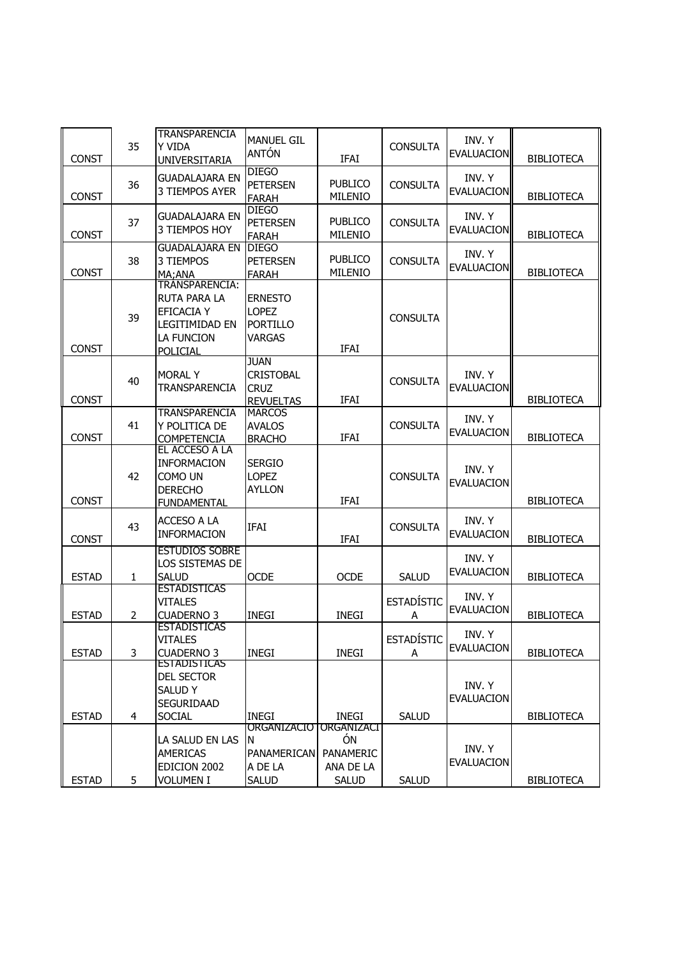| <b>CONST</b> | 35 | <b>TRANSPARENCIA</b><br>Y VIDA<br><b>UNIVERSITARIA</b>                                                 | <b>MANUEL GIL</b><br>ANTÓN                                         | <b>IFAI</b>                                                | <b>CONSULTA</b>        | INV. Y<br><b>EVALUACION</b> | <b>BIBLIOTECA</b> |
|--------------|----|--------------------------------------------------------------------------------------------------------|--------------------------------------------------------------------|------------------------------------------------------------|------------------------|-----------------------------|-------------------|
| CONST        | 36 | <b>GUADALAJARA EN</b><br>3 TIEMPOS AYER                                                                | <b>DIEGO</b><br><b>PETERSEN</b><br><b>FARAH</b>                    | <b>PUBLICO</b><br>MILENIO                                  | <b>CONSULTA</b>        | INV. Y<br><b>EVALUACION</b> | <b>BIBLIOTECA</b> |
| <b>CONST</b> | 37 | <b>GUADALAJARA EN</b><br>3 TIEMPOS HOY                                                                 | <b>DIEGO</b><br><b>PETERSEN</b><br><b>FARAH</b>                    | <b>PUBLICO</b><br>MILENIO                                  | <b>CONSULTA</b>        | INV. Y<br><b>EVALUACION</b> | <b>BIBLIOTECA</b> |
| <b>CONST</b> | 38 | <b>GUADALAJARA EN</b><br>3 TIEMPOS<br>MA;ANA                                                           | <b>DIEGO</b><br><b>PETERSEN</b><br><b>FARAH</b>                    | <b>PUBLICO</b><br>MILENIO                                  | <b>CONSULTA</b>        | INV. Y<br><b>EVALUACION</b> | <b>BIBLIOTECA</b> |
| <b>CONST</b> | 39 | TRÁNSPARENCIA:<br><b>RUTA PARA LA</b><br>EFICACIA Y<br>LEGITIMIDAD EN<br>LA FUNCION<br><b>POLICIAL</b> | <b>ERNESTO</b><br><b>LOPEZ</b><br><b>PORTILLO</b><br><b>VARGAS</b> | <b>IFAI</b>                                                | <b>CONSULTA</b>        |                             |                   |
| <b>CONST</b> | 40 | <b>MORAL Y</b><br>TRANSPARENCIA                                                                        | <b>JUAN</b><br><b>CRISTOBAL</b><br><b>CRUZ</b><br><b>REVUELTAS</b> | <b>IFAI</b>                                                | <b>CONSULTA</b>        | INV. Y<br><b>EVALUACION</b> | <b>BIBLIOTECA</b> |
| <b>CONST</b> | 41 | <b>TRANSPARENCIA</b><br>Y POLITICA DE<br><b>COMPETENCIA</b>                                            | <b>MARCOS</b><br><b>AVALOS</b><br><b>BRACHO</b>                    | IFAI                                                       | <b>CONSULTA</b>        | INV. Y<br><b>EVALUACION</b> | <b>BIBLIOTECA</b> |
| <b>CONST</b> | 42 | EL ACCESO A LA<br><b>INFORMACION</b><br>COMO UN<br><b>DERECHO</b><br><b>FUNDAMENTAL</b>                | <b>SERGIO</b><br><b>LOPEZ</b><br><b>AYLLON</b>                     | <b>IFAI</b>                                                | <b>CONSULTA</b>        | INV. Y<br><b>EVALUACION</b> | <b>BIBLIOTECA</b> |
| <b>CONST</b> | 43 | ACCESO A LA<br>INFORMACION                                                                             | <b>IFAI</b>                                                        | IFAI                                                       | <b>CONSULTA</b>        | INV. Y<br><b>EVALUACION</b> | <b>BIBLIOTECA</b> |
| <b>ESTAD</b> | 1  | <b>ESTUDIOS SOBRE</b><br>LOS SISTEMAS DE<br><b>SALUD</b>                                               | <b>OCDE</b>                                                        | <b>OCDE</b>                                                | <b>SALUD</b>           | INV. Y<br><b>EVALUACION</b> | <b>BIBLIOTECA</b> |
| <b>ESTAD</b> | 2  | <b>ESTADISTICAS</b><br><b>VITALES</b><br><b>CUADERNO 3</b>                                             | <b>INEGI</b>                                                       | <b>INEGI</b>                                               | <b>ESTADÍSTIC</b><br>А | INV. Y<br><b>EVALUACION</b> | <b>BIBLIOTECA</b> |
| <b>ESTAD</b> | 3  | <b>ESTADISTICAS</b><br><b>VITALES</b><br><b>CUADERNO 3</b>                                             | <b>INEGI</b>                                                       | <b>INEGI</b>                                               | <b>ESTADÍSTIC</b><br>A | INV. Y<br><b>EVALUACION</b> | <b>BIBLIOTECA</b> |
| <b>ESTAD</b> | 4  | <b>ESTADISTICAS</b><br>DEL SECTOR<br>SALUD Y<br>SEGURIDAAD<br><b>SOCIAL</b>                            | <b>INEGI</b>                                                       | INEGI                                                      | <b>SALUD</b>           | INV. Y<br><b>EVALUACION</b> | <b>BIBLIOTECA</b> |
| <b>ESTAD</b> | 5  | LA SALUD EN LAS<br><b>AMERICAS</b><br>EDICION 2002<br>Volumen I                                        | ORGANIZACIO<br>N<br>PANAMERICAN<br>A DE LA<br><b>SALUD</b>         | ORGANIZACI<br>ÓN<br>PANAMERIC<br>ANA DE LA<br><b>SALUD</b> | <b>SALUD</b>           | INV. Y<br><b>EVALUACION</b> | <b>BIBLIOTECA</b> |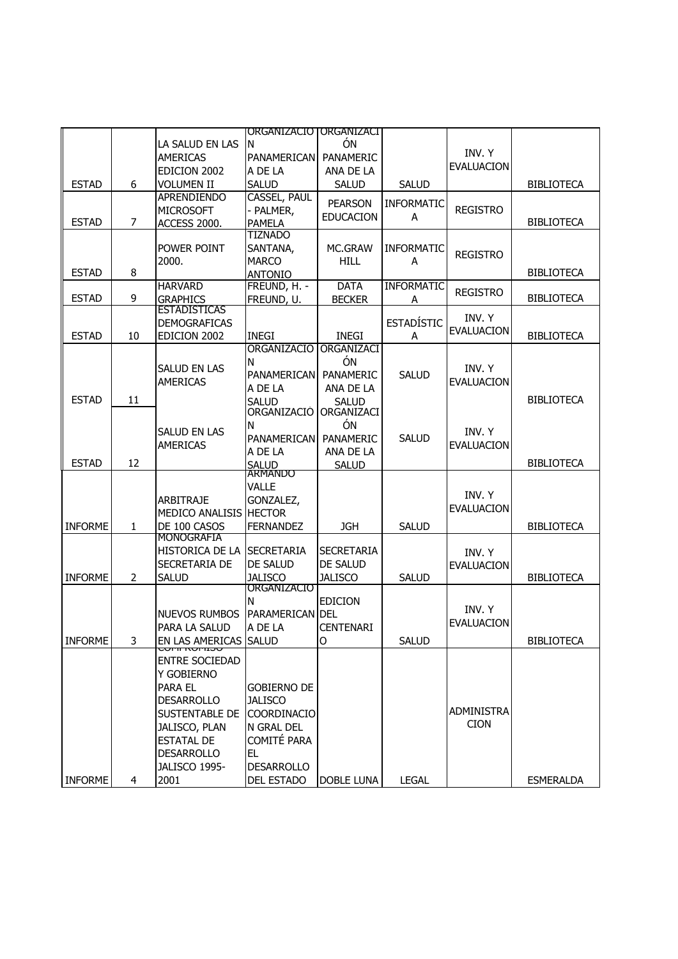|                |                |                                        | ORGANIZACIO   ORGANIZACI |                   |                   |                   |                   |
|----------------|----------------|----------------------------------------|--------------------------|-------------------|-------------------|-------------------|-------------------|
|                |                | LA SALUD EN LAS                        | N                        | ÓN                |                   |                   |                   |
|                |                | <b>AMERICAS</b>                        | <b>PANAMERICAN</b>       | PANAMERIC         |                   | INV. Y            |                   |
|                |                | EDICION 2002                           | A DE LA                  | ANA DE LA         |                   | <b>EVALUACION</b> |                   |
| <b>ESTAD</b>   | 6              | <b>VOLUMEN II</b>                      | <b>SALUD</b>             | <b>SALUD</b>      | <b>SALUD</b>      |                   | <b>BIBLIOTECA</b> |
|                |                | <b>APRENDIENDO</b>                     | <b>CASSEL, PAUL</b>      |                   |                   |                   |                   |
|                |                |                                        |                          | <b>PEARSON</b>    | <b>INFORMATIC</b> |                   |                   |
|                |                | <b>MICROSOFT</b>                       | - PALMER,                | <b>EDUCACION</b>  | A                 | <b>REGISTRO</b>   |                   |
| <b>ESTAD</b>   | 7              | ACCESS 2000.                           | <b>PAMELA</b>            |                   |                   |                   | <b>BIBLIOTECA</b> |
|                |                |                                        | <b>TIZNADO</b>           |                   |                   |                   |                   |
|                |                | POWER POINT                            | SANTANA,                 | MC.GRAW           | <b>INFORMATIC</b> | <b>REGISTRO</b>   |                   |
|                |                | 2000.                                  | <b>MARCO</b>             | <b>HILL</b>       | Α                 |                   |                   |
| <b>ESTAD</b>   | 8              |                                        | <b>ANTONIO</b>           |                   |                   |                   | <b>BIBLIOTECA</b> |
|                |                | <b>HARVARD</b>                         | FREUND, H. -             | <b>DATA</b>       | <b>INFORMATIC</b> | <b>REGISTRO</b>   |                   |
| <b>ESTAD</b>   | 9              | <b>GRAPHICS</b>                        | FREUND, U.               | <b>BECKER</b>     | Α                 |                   | <b>BIBLIOTECA</b> |
|                |                | <b>ESTADISTICAS</b>                    |                          |                   |                   | INV. Y            |                   |
|                |                | <b>DEMOGRAFICAS</b>                    |                          |                   | <b>ESTADÍSTIC</b> | <b>EVALUACION</b> |                   |
| <b>ESTAD</b>   | 10             | EDICION 2002                           | <b>INEGI</b>             | <b>INEGI</b>      | A                 |                   | <b>BIBLIOTECA</b> |
|                |                |                                        | ORGANIZACIO              | ORGANIZACI        |                   |                   |                   |
|                |                | SALUD EN LAS                           | N                        | ÓN                |                   | INV. Y            |                   |
|                |                |                                        | PANAMERICAN              | PANAMERIC         | <b>SALUD</b>      | <b>EVALUACION</b> |                   |
|                |                | <b>AMERICAS</b>                        | A DE LA                  | ANA DE LA         |                   |                   |                   |
| <b>ESTAD</b>   | 11             |                                        | <b>SALUD</b>             | <b>SALUD</b>      |                   |                   | <b>BIBLIOTECA</b> |
|                |                |                                        | ORGANIZACIÓ              | ORGANIZACI        |                   |                   |                   |
|                |                |                                        | N                        | ÓN                |                   |                   |                   |
|                |                | <b>SALUD EN LAS</b>                    | <b>PANAMERICAN</b>       | PANAMERIC         | <b>SALUD</b>      | INV. Y            |                   |
|                |                | <b>AMERICAS</b>                        | A DE LA                  | ANA DE LA         |                   | <b>EVALUACION</b> |                   |
| <b>ESTAD</b>   | 12             |                                        |                          | <b>SALUD</b>      |                   |                   | <b>BIBLIOTECA</b> |
|                |                |                                        | SALUD<br>ARMANDO         |                   |                   |                   |                   |
|                |                |                                        | VALLE                    |                   |                   |                   |                   |
|                |                | <b>ARBITRAJE</b>                       | GONZALEZ,                |                   |                   | INV. Y            |                   |
|                |                | MEDICO ANALISIS HECTOR                 |                          |                   |                   | <b>EVALUACION</b> |                   |
| <b>INFORME</b> | $\mathbf{1}$   | DE 100 CASOS                           | <b>FERNANDEZ</b>         | <b>JGH</b>        | <b>SALUD</b>      |                   | <b>BIBLIOTECA</b> |
|                |                | MONOGRAFIA                             |                          |                   |                   |                   |                   |
|                |                | <b>HISTORICA DE LA</b>                 | <b>SECRETARIA</b>        | <b>SECRETARIA</b> |                   | INV. Y            |                   |
|                |                | <b>SECRETARIA DE</b>                   | DE SALUD                 | DE SALUD          |                   | <b>EVALUACION</b> |                   |
| <b>INFORME</b> | $\overline{2}$ | <b>SALUD</b>                           | <b>JALISCO</b>           | <b>JALISCO</b>    | <b>SALUD</b>      |                   | <b>BIBLIOTECA</b> |
|                |                |                                        | organizacio              |                   |                   |                   |                   |
|                |                |                                        | N                        | <b>EDICION</b>    |                   |                   |                   |
|                |                | <b>NUEVOS RUMBOS</b>                   | <b>PARAMERICAN DEL</b>   |                   |                   | INV. Y            |                   |
|                |                |                                        |                          |                   |                   | <b>EVALUACION</b> |                   |
|                |                | PARA LA SALUD<br>EN LAS AMERICAS SALUD | A DE LA                  | <b>CENTENARI</b>  |                   |                   |                   |
| <b>INFORME</b> | 3              | <u>סטויווטאזוויטט</u>                  |                          | O                 | <b>SALUD</b>      |                   | <b>BIBLIOTECA</b> |
|                |                | <b>ENTRE SOCIEDAD</b>                  |                          |                   |                   |                   |                   |
|                |                | <b>Y GOBIERNO</b>                      |                          |                   |                   |                   |                   |
|                |                | <b>PARA EL</b>                         | <b>GOBIERNO DE</b>       |                   |                   |                   |                   |
|                |                | <b>DESARROLLO</b>                      | <b>JALISCO</b>           |                   |                   |                   |                   |
|                |                |                                        |                          |                   |                   | <b>ADMINISTRA</b> |                   |
|                |                | <b>SUSTENTABLE DE</b>                  | COORDINACIO              |                   |                   | <b>CION</b>       |                   |
|                |                | JALISCO, PLAN                          | N GRAL DEL               |                   |                   |                   |                   |
|                |                | <b>ESTATAL DE</b>                      | COMITÉ PARA              |                   |                   |                   |                   |
|                |                | <b>DESARROLLO</b>                      | EL                       |                   |                   |                   |                   |
|                |                | JALISCO 1995-                          | <b>DESARROLLO</b>        |                   |                   |                   |                   |
| <b>INFORME</b> | 4              | 2001                                   | DEL ESTADO               | <b>DOBLE LUNA</b> | <b>LEGAL</b>      |                   | <b>ESMERALDA</b>  |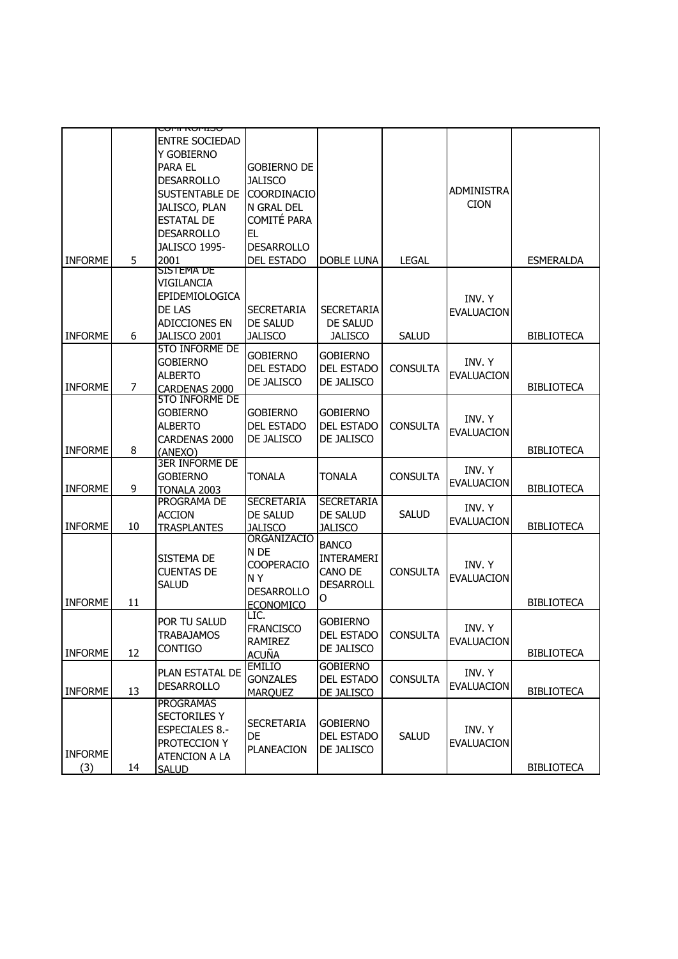|                |                | <u>סטויוטאזווטט</u>   |                   |                   |                 |                   |                   |
|----------------|----------------|-----------------------|-------------------|-------------------|-----------------|-------------------|-------------------|
|                |                | <b>ENTRE SOCIEDAD</b> |                   |                   |                 |                   |                   |
|                |                | Y GOBIERNO            |                   |                   |                 |                   |                   |
|                |                | <b>PARA EL</b>        | Gobierno de       |                   |                 |                   |                   |
|                |                | <b>DESARROLLO</b>     | <b>JALISCO</b>    |                   |                 |                   |                   |
|                |                | <b>SUSTENTABLE DE</b> | COORDINACIO       |                   |                 | <b>ADMINISTRA</b> |                   |
|                |                |                       |                   |                   |                 | <b>CION</b>       |                   |
|                |                | JALISCO, PLAN         | N GRAL DEL        |                   |                 |                   |                   |
|                |                | <b>ESTATAL DE</b>     | COMITÉ PARA       |                   |                 |                   |                   |
|                |                | <b>DESARROLLO</b>     | EL                |                   |                 |                   |                   |
|                |                | JALISCO 1995-         | <b>DESARROLLO</b> |                   |                 |                   |                   |
| <b>INFORME</b> | 5              | 2001                  | <b>DEL ESTADO</b> | DOBLE LUNA        | <b>LEGAL</b>    |                   | <b>ESMERALDA</b>  |
|                |                | <b>SISTEMA DE</b>     |                   |                   |                 |                   |                   |
|                |                | VIGILANCIA            |                   |                   |                 |                   |                   |
|                |                | EPIDEMIOLOGICA        |                   |                   |                 | INV. Y            |                   |
|                |                | DE LAS                | <b>SECRETARIA</b> | <b>SECRETARIA</b> |                 | <b>EVALUACION</b> |                   |
|                |                | ADICCIONES EN         | DE SALUD          | DE SALUD          |                 |                   |                   |
| <b>INFORME</b> | 6              | JALISCO 2001          | JALISCO           | <b>JALISCO</b>    | <b>SALUD</b>    |                   | <b>BIBLIOTECA</b> |
|                |                | <b>5TO INFORME DE</b> | <b>GOBIERNO</b>   | <b>GOBIERNO</b>   |                 |                   |                   |
|                |                | <b>GOBIERNO</b>       |                   |                   | <b>CONSULTA</b> | INV. Y            |                   |
|                |                | <b>ALBERTO</b>        | <b>DEL ESTADO</b> | <b>DEL ESTADO</b> |                 | <b>EVALUACION</b> |                   |
| <b>INFORME</b> | $\overline{7}$ | CARDENAS 2000         | DE JALISCO        | DE JALISCO        |                 |                   | <b>BIBLIOTECA</b> |
|                |                | <b>5TO INFORME DE</b> |                   |                   |                 |                   |                   |
|                |                | <b>GOBIERNO</b>       | <b>GOBIERNO</b>   | <b>GOBIERNO</b>   |                 |                   |                   |
|                |                | <b>ALBERTO</b>        | <b>DEL ESTADO</b> | <b>DEL ESTADO</b> | <b>CONSULTA</b> | INV. Y            |                   |
|                |                | CARDENAS 2000         | DE JALISCO        | DE JALISCO        |                 | <b>EVALUACION</b> |                   |
| <b>INFORME</b> | 8              | (ANEXO)               |                   |                   |                 |                   | <b>BIBLIOTECA</b> |
|                |                | <b>3ER INFORME DE</b> |                   |                   |                 |                   |                   |
|                |                | <b>GOBIERNO</b>       | TONALA            | TONALA            | <b>CONSULTA</b> | INV. Y            |                   |
| <b>INFORME</b> | 9              | TONALA 2003           |                   |                   |                 | <b>EVALUACION</b> | <b>BIBLIOTECA</b> |
|                |                | PROGRAMA DE           | <b>SECRETARIA</b> | <b>SECRETARIA</b> |                 |                   |                   |
|                |                | <b>ACCION</b>         | DE SALUD          | DE SALUD          | <b>SALUD</b>    | INV. Y            |                   |
| <b>INFORME</b> | 10             | <b>TRASPLANTES</b>    | <b>JALISCO</b>    | JALISCO           |                 | <b>EVALUACION</b> | <b>BIBLIOTECA</b> |
|                |                |                       | ORGANIZACIO       |                   |                 |                   |                   |
|                |                |                       | N DE              | <b>BANCO</b>      |                 |                   |                   |
|                |                | <b>SISTEMA DE</b>     | COOPERACIO        | <b>INTERAMERI</b> |                 | INV. Y            |                   |
|                |                | <b>CUENTAS DE</b>     | NY.               | CANO DE           | <b>CONSULTA</b> | <b>EVALUACION</b> |                   |
|                |                | <b>SALUD</b>          | <b>DESARROLLO</b> | DESARROLL         |                 |                   |                   |
| <b>INFORME</b> | 11             |                       | <b>ECONOMICO</b>  | 0                 |                 |                   | <b>BIBLIOTECA</b> |
|                |                |                       | LIC.              |                   |                 |                   |                   |
|                |                | POR TU SALUD          | <b>FRANCISCO</b>  | <b>GOBIERNO</b>   |                 | INV. Y            |                   |
|                |                | <b>TRABAJAMOS</b>     | <b>RAMIREZ</b>    | DEL ESTADO        | <b>CONSULTA</b> | <b>EVALUACION</b> |                   |
| <b>INFORME</b> | 12             | <b>CONTIGO</b>        | <b>ACUÑA</b>      | DE JALISCO        |                 |                   | <b>BIBLIOTECA</b> |
|                |                |                       | <b>EMILIO</b>     | <b>GOBIERNO</b>   |                 |                   |                   |
|                |                | PLAN ESTATAL DE       | <b>GONZALES</b>   | <b>DEL ESTADO</b> | <b>CONSULTA</b> | INV. Y            |                   |
| <b>INFORME</b> | 13             | <b>DESARROLLO</b>     | <b>MARQUEZ</b>    | DE JALISCO        |                 | <b>EVALUACION</b> | <b>BIBLIOTECA</b> |
|                |                | <b>PROGRAMAS</b>      |                   |                   |                 |                   |                   |
|                |                | <b>SECTORILES Y</b>   | <b>SECRETARIA</b> |                   |                 |                   |                   |
|                |                | <b>ESPECIALES 8.-</b> |                   | <b>GOBIERNO</b>   |                 | INV. Y            |                   |
|                |                | PROTECCION Y          | DE                | <b>DEL ESTADO</b> | <b>SALUD</b>    | <b>EVALUACION</b> |                   |
| <b>INFORME</b> |                | <b>ATENCION A LA</b>  | <b>PLANEACION</b> | DE JALISCO        |                 |                   |                   |
| (3)            | 14             | <b>SALUD</b>          |                   |                   |                 |                   | <b>BIBLIOTECA</b> |